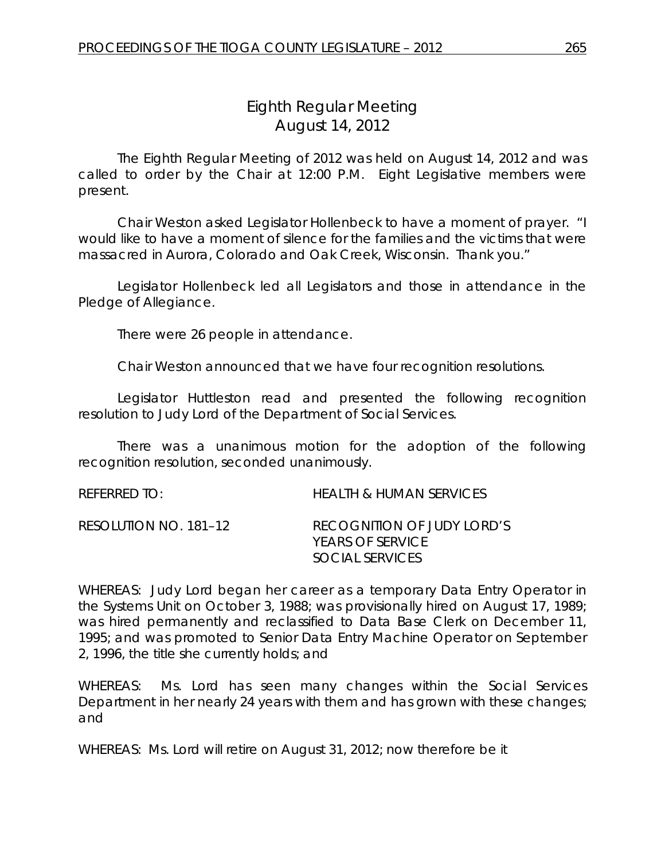# *Eighth Regular Meeting* August 14, 2012

The Eighth Regular Meeting of 2012 was held on August 14, 2012 and was called to order by the Chair at 12:00 P.M. Eight Legislative members were present.

Chair Weston asked Legislator Hollenbeck to have a moment of prayer. "I would like to have a moment of silence for the families and the victims that were massacred in Aurora, Colorado and Oak Creek, Wisconsin. Thank you."

Legislator Hollenbeck led all Legislators and those in attendance in the Pledge of Allegiance.

There were 26 people in attendance.

Chair Weston announced that we have four recognition resolutions.

Legislator Huttleston read and presented the following recognition resolution to Judy Lord of the Department of Social Services.

There was a unanimous motion for the adoption of the following recognition resolution, seconded unanimously.

| REFERRED TO:          | HEALTH & HUMAN SERVICES                                                  |
|-----------------------|--------------------------------------------------------------------------|
| RESOLUTION NO. 181–12 | RECOGNITION OF JUDY LORD'S<br><b>YEARS OF SERVICE</b><br>SOCIAL SERVICES |

WHEREAS: Judy Lord began her career as a temporary Data Entry Operator in the Systems Unit on October 3, 1988; was provisionally hired on August 17, 1989; was hired permanently and reclassified to Data Base Clerk on December 11, 1995; and was promoted to Senior Data Entry Machine Operator on September 2, 1996, the title she currently holds; and

WHEREAS: Ms. Lord has seen many changes within the Social Services Department in her nearly 24 years with them and has grown with these changes; and

WHEREAS: Ms. Lord will retire on August 31, 2012; now therefore be it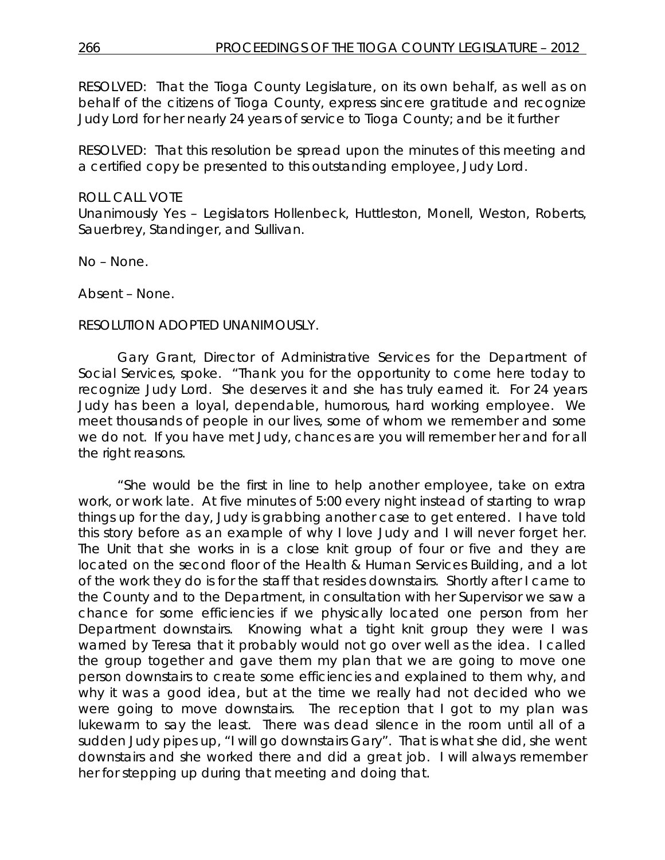RESOLVED: That the Tioga County Legislature, on its own behalf, as well as on behalf of the citizens of Tioga County, express sincere gratitude and recognize Judy Lord for her nearly 24 years of service to Tioga County; and be it further

RESOLVED: That this resolution be spread upon the minutes of this meeting and a certified copy be presented to this outstanding employee, Judy Lord.

### ROLL CALL VOTE

Unanimously Yes – Legislators Hollenbeck, Huttleston, Monell, Weston, Roberts, Sauerbrey, Standinger, and Sullivan.

No – None.

Absent – None.

### RESOLUTION ADOPTED UNANIMOUSLY.

Gary Grant, Director of Administrative Services for the Department of Social Services, spoke. "Thank you for the opportunity to come here today to recognize Judy Lord. She deserves it and she has truly earned it. For 24 years Judy has been a loyal, dependable, humorous, hard working employee. We meet thousands of people in our lives, some of whom we remember and some we do not. If you have met Judy, chances are you will remember her and for all the right reasons.

"She would be the first in line to help another employee, take on extra work, or work late. At five minutes of 5:00 every night instead of starting to wrap things up for the day, Judy is grabbing another case to get entered. I have told this story before as an example of why I love Judy and I will never forget her. The Unit that she works in is a close knit group of four or five and they are located on the second floor of the Health & Human Services Building, and a lot of the work they do is for the staff that resides downstairs. Shortly after I came to the County and to the Department, in consultation with her Supervisor we saw a chance for some efficiencies if we physically located one person from her Department downstairs. Knowing what a tight knit group they were I was warned by Teresa that it probably would not go over well as the idea. I called the group together and gave them my plan that we are going to move one person downstairs to create some efficiencies and explained to them why, and why it was a good idea, but at the time we really had not decided who we were going to move downstairs. The reception that I got to my plan was lukewarm to say the least. There was dead silence in the room until all of a sudden Judy pipes up, "I will go downstairs Gary". That is what she did, she went downstairs and she worked there and did a great job. I will always remember her for stepping up during that meeting and doing that.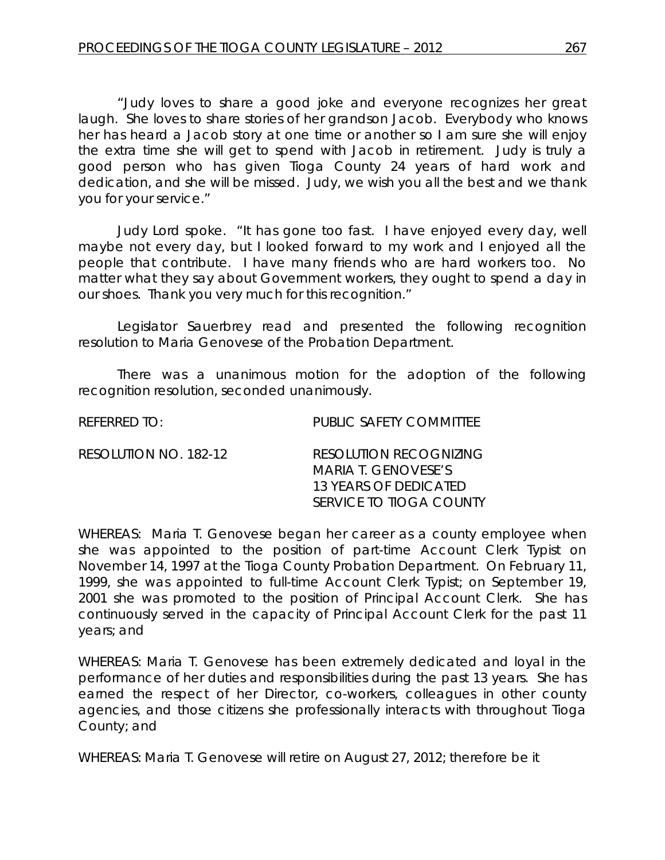"Judy loves to share a good joke and everyone recognizes her great laugh. She loves to share stories of her grandson Jacob. Everybody who knows her has heard a Jacob story at one time or another so I am sure she will enjoy the extra time she will get to spend with Jacob in retirement. Judy is truly a good person who has given Tioga County 24 years of hard work and dedication, and she will be missed. Judy, we wish you all the best and we thank you for your service."

Judy Lord spoke. "It has gone too fast. I have enjoyed every day, well maybe not every day, but I looked forward to my work and I enjoyed all the people that contribute. I have many friends who are hard workers too. No matter what they say about Government workers, they ought to spend a day in our shoes. Thank you very much for this recognition."

Legislator Sauerbrey read and presented the following recognition resolution to Maria Genovese of the Probation Department.

There was a unanimous motion for the adoption of the following recognition resolution, seconded unanimously.

| $R$ FFFRRFD T $O_1$   | PUBLIC SAFFTY COMMITTEE                                                                                  |
|-----------------------|----------------------------------------------------------------------------------------------------------|
| RESOLUTION NO. 182-12 | RESOLUTION RECOGNIZING<br>MARIA T. GENOVESE'S<br>13 YEARS OF DEDICATED<br><i>SERVICE TO TIOGA COUNTY</i> |

WHEREAS: Maria T. Genovese began her career as a county employee when she was appointed to the position of part-time Account Clerk Typist on November 14, 1997 at the Tioga County Probation Department. On February 11, 1999, she was appointed to full-time Account Clerk Typist; on September 19, 2001 she was promoted to the position of Principal Account Clerk. She has continuously served in the capacity of Principal Account Clerk for the past 11 years; and

WHEREAS: Maria T. Genovese has been extremely dedicated and loyal in the performance of her duties and responsibilities during the past 13 years. She has earned the respect of her Director, co-workers, colleagues in other county agencies, and those citizens she professionally interacts with throughout Tioga County; and

WHEREAS: Maria T. Genovese will retire on August 27, 2012; therefore be it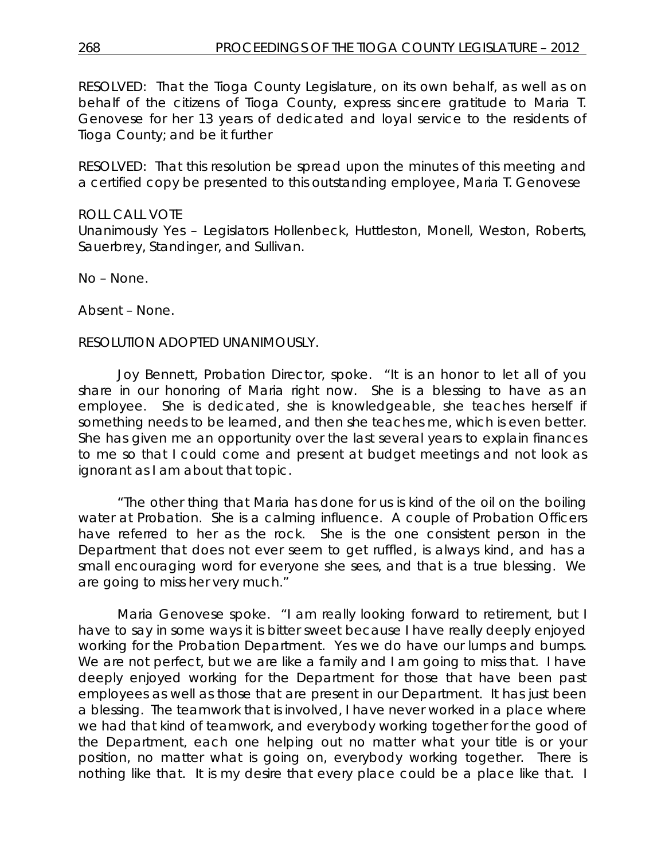RESOLVED: That the Tioga County Legislature, on its own behalf, as well as on behalf of the citizens of Tioga County, express sincere gratitude to Maria T. Genovese for her 13 years of dedicated and loyal service to the residents of Tioga County; and be it further

RESOLVED: That this resolution be spread upon the minutes of this meeting and a certified copy be presented to this outstanding employee, Maria T. Genovese

# ROLL CALL VOTE

Unanimously Yes – Legislators Hollenbeck, Huttleston, Monell, Weston, Roberts, Sauerbrey, Standinger, and Sullivan.

No – None.

Absent – None.

### RESOLUTION ADOPTED UNANIMOUSLY.

Joy Bennett, Probation Director, spoke. "It is an honor to let all of you share in our honoring of Maria right now. She is a blessing to have as an employee. She is dedicated, she is knowledgeable, she teaches herself if something needs to be learned, and then she teaches me, which is even better. She has given me an opportunity over the last several years to explain finances to me so that I could come and present at budget meetings and not look as ignorant as I am about that topic.

"The other thing that Maria has done for us is kind of the oil on the boiling water at Probation. She is a calming influence. A couple of Probation Officers have referred to her as the rock. She is the one consistent person in the Department that does not ever seem to get ruffled, is always kind, and has a small encouraging word for everyone she sees, and that is a true blessing. We are going to miss her very much."

Maria Genovese spoke. "I am really looking forward to retirement, but I have to say in some ways it is bitter sweet because I have really deeply enjoyed working for the Probation Department. Yes we do have our lumps and bumps. We are not perfect, but we are like a family and I am going to miss that. I have deeply enjoyed working for the Department for those that have been past employees as well as those that are present in our Department. It has just been a blessing. The teamwork that is involved, I have never worked in a place where we had that kind of teamwork, and everybody working together for the good of the Department, each one helping out no matter what your title is or your position, no matter what is going on, everybody working together. There is nothing like that. It is my desire that every place could be a place like that. I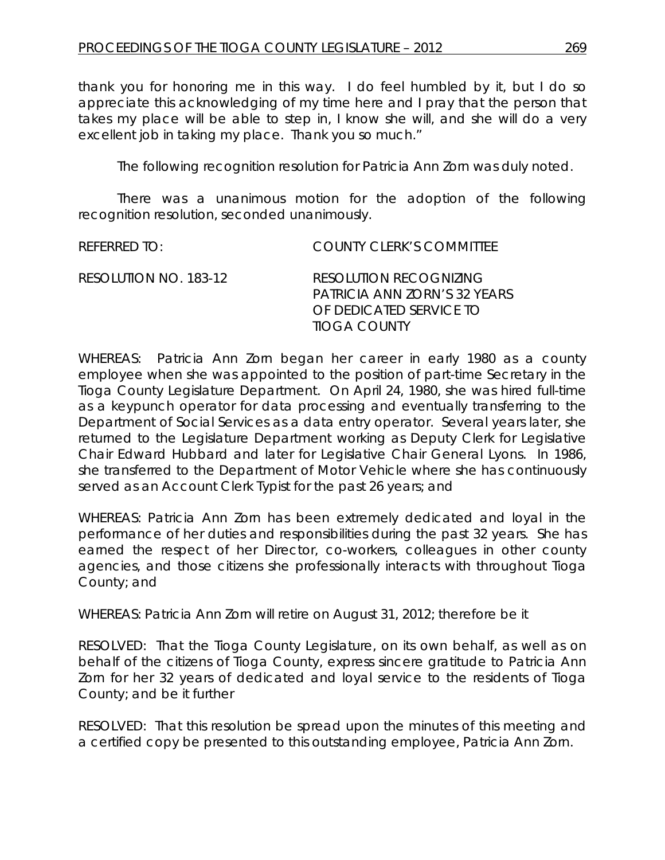thank you for honoring me in this way. I do feel humbled by it, but I do so appreciate this acknowledging of my time here and I pray that the person that takes my place will be able to step in, I know she will, and she will do a very excellent job in taking my place. Thank you so much."

The following recognition resolution for Patricia Ann Zorn was duly noted.

There was a unanimous motion for the adoption of the following recognition resolution, seconded unanimously.

REFERRED TO: COUNTY CLERK'S COMMITTEE

| RESOLUTION NO. 183-12 | RESOLUTION RECOGNIZING       |
|-----------------------|------------------------------|
|                       | PATRICIA ANN ZORN'S 32 YEARS |
|                       | OF DEDICATED SERVICE TO      |
|                       | TIOGA COUNTY                 |

WHEREAS: Patricia Ann Zorn began her career in early 1980 as a county employee when she was appointed to the position of part-time Secretary in the Tioga County Legislature Department. On April 24, 1980, she was hired full-time as a keypunch operator for data processing and eventually transferring to the Department of Social Services as a data entry operator. Several years later, she returned to the Legislature Department working as Deputy Clerk for Legislative Chair Edward Hubbard and later for Legislative Chair General Lyons. In 1986, she transferred to the Department of Motor Vehicle where she has continuously served as an Account Clerk Typist for the past 26 years; and

WHEREAS: Patricia Ann Zorn has been extremely dedicated and loyal in the performance of her duties and responsibilities during the past 32 years. She has earned the respect of her Director, co-workers, colleagues in other county agencies, and those citizens she professionally interacts with throughout Tioga County; and

WHEREAS: Patricia Ann Zorn will retire on August 31, 2012; therefore be it

RESOLVED: That the Tioga County Legislature, on its own behalf, as well as on behalf of the citizens of Tioga County, express sincere gratitude to Patricia Ann Zorn for her 32 years of dedicated and loyal service to the residents of Tioga County; and be it further

RESOLVED: That this resolution be spread upon the minutes of this meeting and a certified copy be presented to this outstanding employee, Patricia Ann Zorn.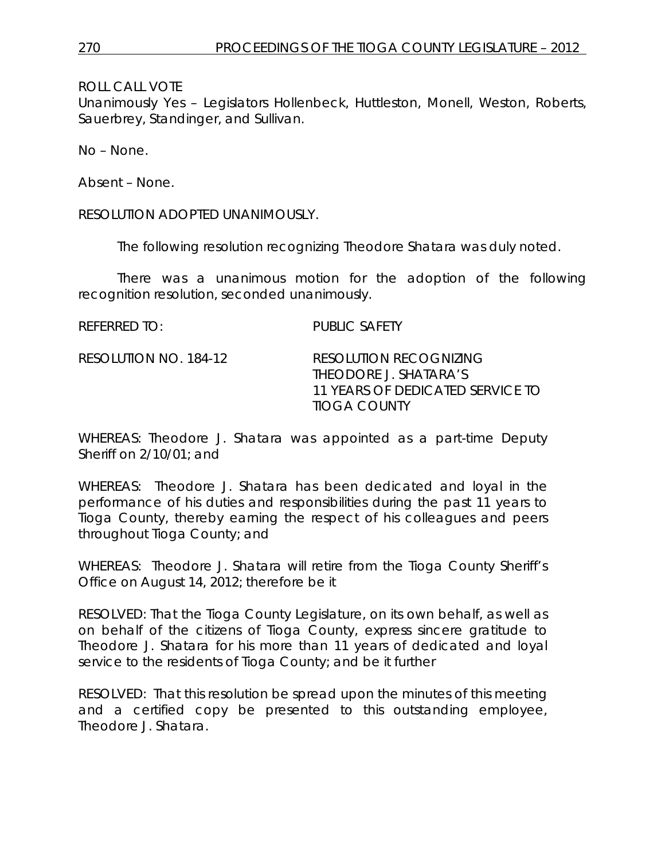*11 YEARS OF DEDICATED SERVICE TO*

ROLL CALL VOTE

Unanimously Yes – Legislators Hollenbeck, Huttleston, Monell, Weston, Roberts, Sauerbrey, Standinger, and Sullivan.

No – None.

Absent – None.

RESOLUTION ADOPTED UNANIMOUSLY.

The following resolution recognizing Theodore Shatara was duly noted.

There was a unanimous motion for the adoption of the following recognition resolution, seconded unanimously.

*TIOGA COUNTY*

| referred to:          | PUBLIC SAFFTY                                          |
|-----------------------|--------------------------------------------------------|
| RESOLUTION NO. 184-12 | <b>RESOLUTION RECOGNIZING</b><br>THEODORE J. SHATARA'S |

WHEREAS: Theodore J. Shatara was appointed as a part-time Deputy Sheriff on 2/10/01; and

WHEREAS: Theodore J. Shatara has been dedicated and loyal in the performance of his duties and responsibilities during the past 11 years to Tioga County, thereby earning the respect of his colleagues and peers throughout Tioga County; and

WHEREAS: Theodore J. Shatara will retire from the Tioga County Sheriff's Office on August 14, 2012; therefore be it

RESOLVED: That the Tioga County Legislature, on its own behalf, as well as on behalf of the citizens of Tioga County, express sincere gratitude to Theodore J. Shatara for his more than 11 years of dedicated and loyal service to the residents of Tioga County; and be it further

RESOLVED: That this resolution be spread upon the minutes of this meeting and a certified copy be presented to this outstanding employee, Theodore J. Shatara.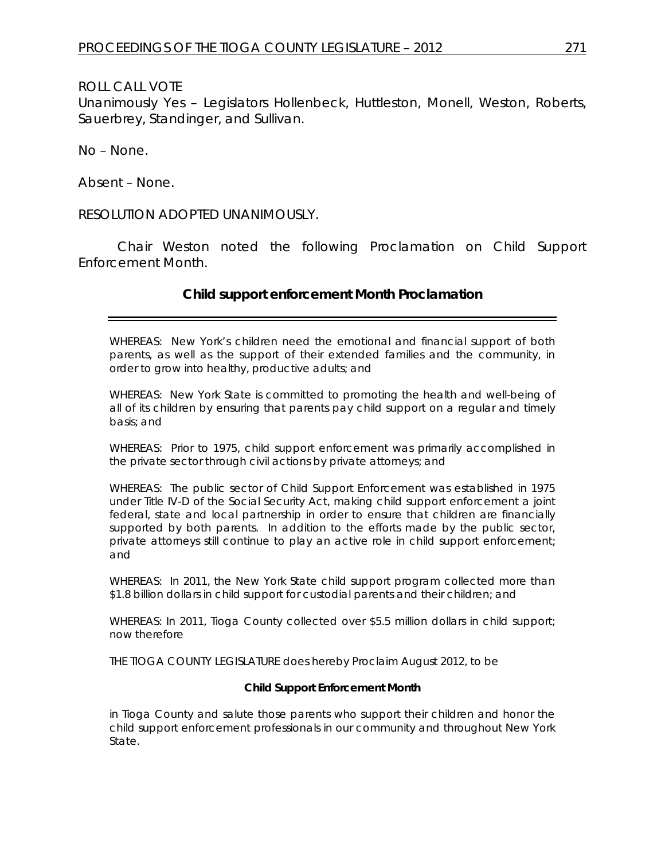Unanimously Yes – Legislators Hollenbeck, Huttleston, Monell, Weston, Roberts, Sauerbrey, Standinger, and Sullivan.

No – None.

Absent – None.

RESOLUTION ADOPTED UNANIMOUSLY.

Chair Weston noted the following Proclamation on Child Support Enforcement Month.

# **Child support enforcement Month Proclamation**

WHEREAS: New York's children need the emotional and financial support of both parents, as well as the support of their extended families and the community, in order to grow into healthy, productive adults; and

WHEREAS: New York State is committed to promoting the health and well-being of all of its children by ensuring that parents pay child support on a regular and timely basis; and

WHEREAS: Prior to 1975, child support enforcement was primarily accomplished in the private sector through civil actions by private attorneys; and

WHEREAS: The public sector of Child Support Enforcement was established in 1975 under Title IV-D of the Social Security Act, making child support enforcement a joint federal, state and local partnership in order to ensure that children are financially supported by both parents. In addition to the efforts made by the public sector, private attorneys still continue to play an active role in child support enforcement; and

WHEREAS: In 2011, the New York State child support program collected more than \$1.8 billion dollars in child support for custodial parents and their children; and

WHEREAS: In 2011, Tioga County collected over \$5.5 million dollars in child support; now therefore

THE TIOGA COUNTY LEGISLATURE does hereby Proclaim August 2012, to be

#### **Child Support Enforcement Month**

in Tioga County and salute those parents who support their children and honor the child support enforcement professionals in our community and throughout New York State.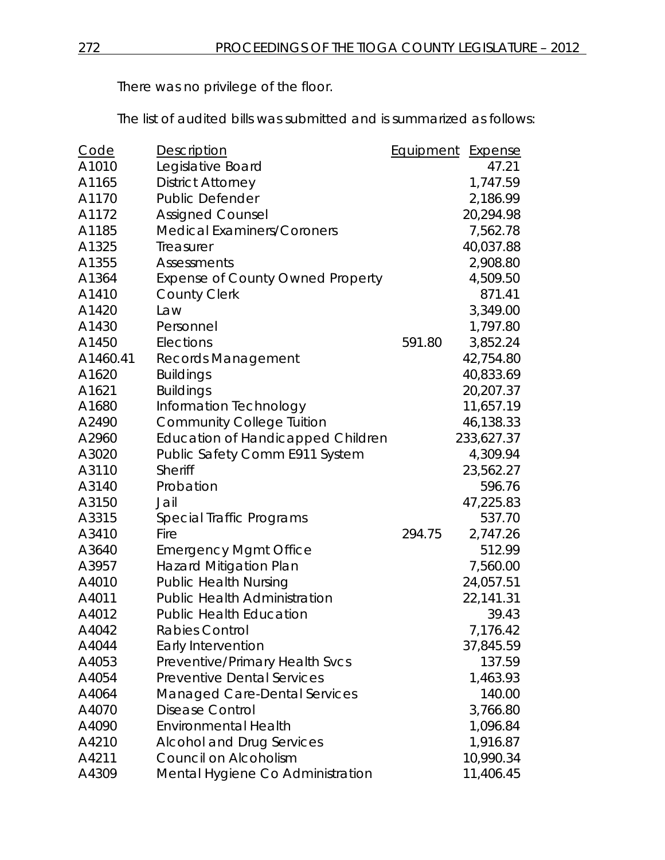There was no privilege of the floor.

The list of audited bills was submitted and is summarized as follows:

| <u>Code</u> | Description                              | <b>Equipment</b> | <b>Expense</b> |
|-------------|------------------------------------------|------------------|----------------|
| A1010       | Legislative Board                        |                  | 47.21          |
| A1165       | <b>District Attorney</b>                 |                  | 1,747.59       |
| A1170       | <b>Public Defender</b>                   |                  | 2,186.99       |
| A1172       | <b>Assigned Counsel</b>                  |                  | 20,294.98      |
| A1185       | <b>Medical Examiners/Coroners</b>        |                  | 7,562.78       |
| A1325       | Treasurer                                |                  | 40,037.88      |
| A1355       | Assessments                              |                  | 2,908.80       |
| A1364       | <b>Expense of County Owned Property</b>  |                  | 4,509.50       |
| A1410       | <b>County Clerk</b>                      |                  | 871.41         |
| A1420       | Law                                      |                  | 3,349.00       |
| A1430       | Personnel                                |                  | 1,797.80       |
| A1450       | Elections                                | 591.80           | 3,852.24       |
| A1460.41    | Records Management                       |                  | 42,754.80      |
| A1620       | <b>Buildings</b>                         |                  | 40,833.69      |
| A1621       | <b>Buildings</b>                         |                  | 20,207.37      |
| A1680       | Information Technology                   |                  | 11,657.19      |
| A2490       | <b>Community College Tuition</b>         |                  | 46,138.33      |
| A2960       | <b>Education of Handicapped Children</b> |                  | 233,627.37     |
| A3020       | Public Safety Comm E911 System           |                  | 4,309.94       |
| A3110       | Sheriff                                  |                  | 23,562.27      |
| A3140       | Probation                                |                  | 596.76         |
| A3150       | Jail                                     |                  | 47,225.83      |
| A3315       | Special Traffic Programs                 |                  | 537.70         |
| A3410       | Fire                                     | 294.75           | 2,747.26       |
| A3640       | <b>Emergency Mgmt Office</b>             |                  | 512.99         |
| A3957       | <b>Hazard Mitigation Plan</b>            |                  | 7,560.00       |
| A4010       | <b>Public Health Nursing</b>             |                  | 24,057.51      |
| A4011       | <b>Public Health Administration</b>      |                  | 22,141.31      |
| A4012       | <b>Public Health Education</b>           |                  | 39.43          |
| A4042       | Rabies Control                           |                  | 7,176.42       |
| A4044       | Early Intervention                       |                  | 37,845.59      |
| A4053       | Preventive/Primary Health Svcs           |                  | 137.59         |
| A4054       | <b>Preventive Dental Services</b>        |                  | 1,463.93       |
| A4064       | Managed Care-Dental Services             |                  | 140.00         |
| A4070       | Disease Control                          |                  | 3,766.80       |
| A4090       | <b>Environmental Health</b>              |                  | 1,096.84       |
| A4210       | <b>Alcohol and Drug Services</b>         |                  | 1,916.87       |
| A4211       | Council on Alcoholism                    |                  | 10,990.34      |
| A4309       | Mental Hygiene Co Administration         |                  | 11,406.45      |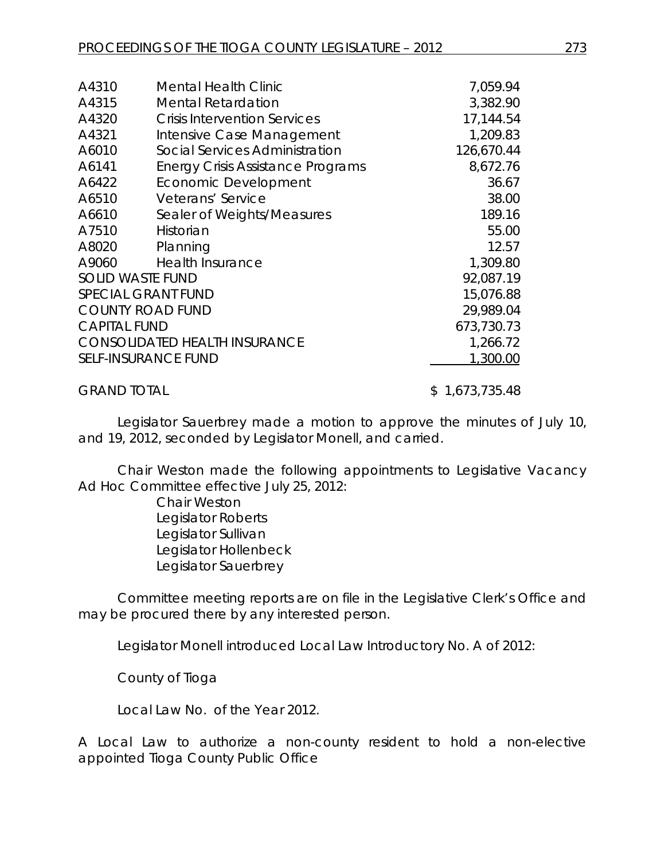| A4310               | <b>Mental Health Clinic</b>              | 7,059.94   |
|---------------------|------------------------------------------|------------|
| A4315               | <b>Mental Retardation</b>                | 3,382.90   |
| A4320               | <b>Crisis Intervention Services</b>      | 17,144.54  |
| A4321               | Intensive Case Management                | 1,209.83   |
| A6010               | Social Services Administration           | 126,670.44 |
| A6141               | <b>Energy Crisis Assistance Programs</b> | 8,672.76   |
| A6422               | <b>Economic Development</b>              | 36.67      |
| A6510               | Veterans' Service                        | 38.00      |
| A6610               | Sealer of Weights/Measures               | 189.16     |
| A7510               | Historian                                | 55.00      |
| A8020               | Planning                                 | 12.57      |
| A9060               | <b>Health Insurance</b>                  | 1,309.80   |
|                     | <b>SOLID WASTE FUND</b>                  | 92,087.19  |
|                     | <b>SPECIAL GRANT FUND</b>                | 15,076.88  |
|                     | <b>COUNTY ROAD FUND</b>                  | 29,989.04  |
| <b>CAPITAL FUND</b> |                                          | 673,730.73 |
|                     | <b>CONSOLIDATED HEALTH INSURANCE</b>     | 1,266.72   |
|                     | <b>SELF-INSURANCE FUND</b>               | 1,300.00   |
|                     |                                          |            |

GRAND TOTAL \$ 1,673,735.48

Legislator Sauerbrey made a motion to approve the minutes of July 10, and 19, 2012, seconded by Legislator Monell, and carried.

Chair Weston made the following appointments to Legislative Vacancy Ad Hoc Committee effective July 25, 2012:

> Chair Weston Legislator Roberts Legislator Sullivan Legislator Hollenbeck Legislator Sauerbrey

Committee meeting reports are on file in the Legislative Clerk's Office and may be procured there by any interested person.

Legislator Monell introduced Local Law Introductory No. A of 2012:

County of Tioga

Local Law No. of the Year 2012.

A Local Law to authorize a non-county resident to hold a non-elective appointed Tioga County Public Office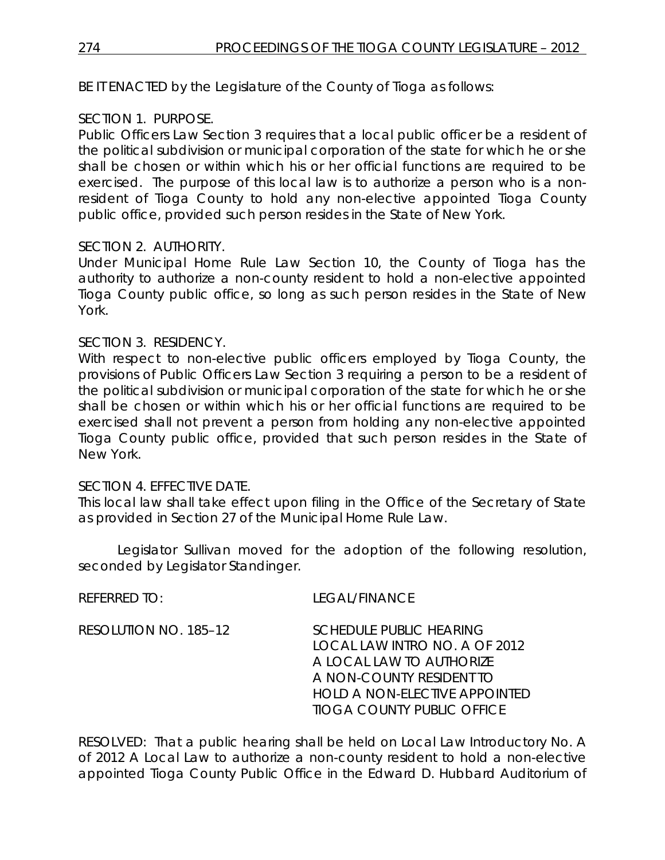BE IT ENACTED by the Legislature of the County of Tioga as follows:

# SECTION 1. PURPOSE.

Public Officers Law Section 3 requires that a local public officer be a resident of the political subdivision or municipal corporation of the state for which he or she shall be chosen or within which his or her official functions are required to be exercised. The purpose of this local law is to authorize a person who is a nonresident of Tioga County to hold any non-elective appointed Tioga County public office, provided such person resides in the State of New York.

# SECTION 2. AUTHORITY.

Under Municipal Home Rule Law Section 10, the County of Tioga has the authority to authorize a non-county resident to hold a non-elective appointed Tioga County public office, so long as such person resides in the State of New York.

# SECTION 3. RESIDENCY.

With respect to non-elective public officers employed by Tioga County, the provisions of Public Officers Law Section 3 requiring a person to be a resident of the political subdivision or municipal corporation of the state for which he or she shall be chosen or within which his or her official functions are required to be exercised shall not prevent a person from holding any non-elective appointed Tioga County public office, provided that such person resides in the State of New York.

# SECTION 4. EFFECTIVE DATE.

This local law shall take effect upon filing in the Office of the Secretary of State as provided in Section 27 of the Municipal Home Rule Law.

Legislator Sullivan moved for the adoption of the following resolution, seconded by Legislator Standinger.

REFERRED TO: LEGAL/FINANCE

RESOLUTION NO. 185–12 *SCHEDULE PUBLIC HEARING LOCAL LAW INTRO NO. A OF 2012 A LOCAL LAW TO AUTHORIZE A NON-COUNTY RESIDENT TO HOLD A NON-ELECTIVE APPOINTED TIOGA COUNTY PUBLIC OFFICE*

RESOLVED: That a public hearing shall be held on Local Law Introductory No. A of 2012 A Local Law to authorize a non-county resident to hold a non-elective appointed Tioga County Public Office in the Edward D. Hubbard Auditorium of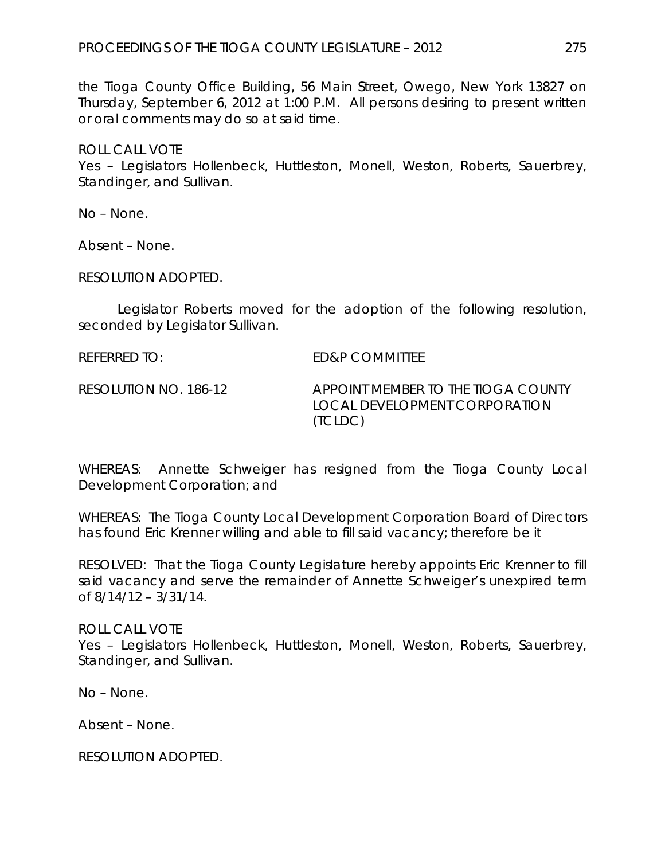the Tioga County Office Building, 56 Main Street, Owego, New York 13827 on Thursday, September 6, 2012 at 1:00 P.M. All persons desiring to present written or oral comments may do so at said time.

ROLL CALL VOTE

Yes – Legislators Hollenbeck, Huttleston, Monell, Weston, Roberts, Sauerbrey, Standinger, and Sullivan.

No – None.

Absent – None.

RESOLUTION ADOPTED.

Legislator Roberts moved for the adoption of the following resolution, seconded by Legislator Sullivan.

REFERRED TO: ED&P COMMITTEE

RESOLUTION NO. 186-12 *APPOINT MEMBER TO THE TIOGA COUNTY LOCAL DEVELOPMENT CORPORATION (TCLDC)*

WHEREAS: Annette Schweiger has resigned from the Tioga County Local Development Corporation; and

WHEREAS: The Tioga County Local Development Corporation Board of Directors has found Eric Krenner willing and able to fill said vacancy; therefore be it

RESOLVED: That the Tioga County Legislature hereby appoints Eric Krenner to fill said vacancy and serve the remainder of Annette Schweiger's unexpired term of 8/14/12 – 3/31/14.

ROLL CALL VOTE

Yes – Legislators Hollenbeck, Huttleston, Monell, Weston, Roberts, Sauerbrey, Standinger, and Sullivan.

No – None.

Absent – None.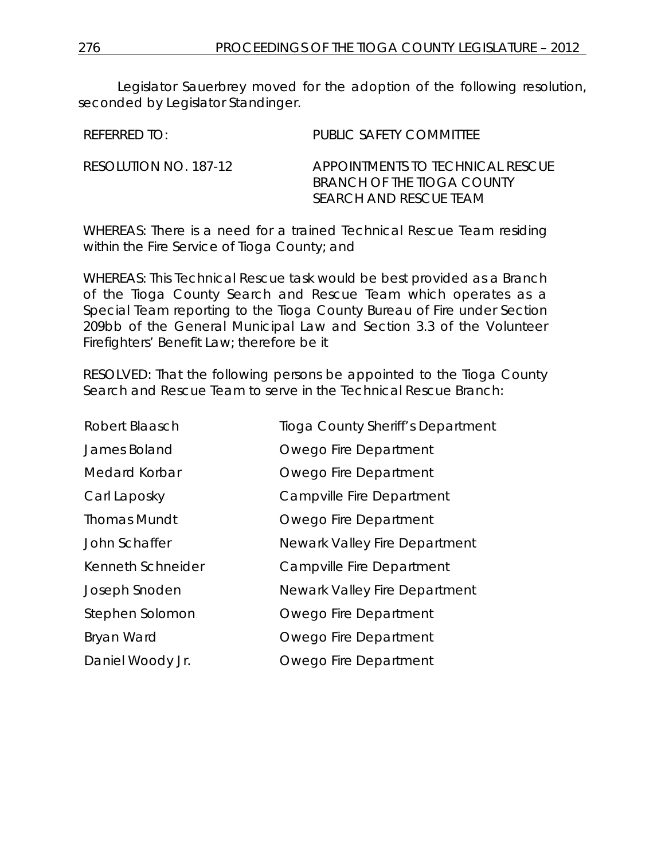Legislator Sauerbrey moved for the adoption of the following resolution, seconded by Legislator Standinger.

| REFERRED TO:          | PUBLIC SAFETY COMMITTEE                                                                  |
|-----------------------|------------------------------------------------------------------------------------------|
| RESOLUTION NO. 187-12 | APPOINTMENTS TO TECHNICAL RESCUE<br>BRANCH OF THE TIOGA COUNTY<br>SEARCH AND RESCUE TEAM |

WHEREAS: There is a need for a trained Technical Rescue Team residing within the Fire Service of Tioga County; and

WHEREAS: This Technical Rescue task would be best provided as a Branch of the Tioga County Search and Rescue Team which operates as a Special Team reporting to the Tioga County Bureau of Fire under Section 209bb of the General Municipal Law and Section 3.3 of the Volunteer Firefighters' Benefit Law; therefore be it

RESOLVED: That the following persons be appointed to the Tioga County Search and Rescue Team to serve in the Technical Rescue Branch:

| Robert Blaasch      | Tioga County Sheriff's Department |
|---------------------|-----------------------------------|
| James Boland        | Owego Fire Department             |
| Medard Korbar       | Owego Fire Department             |
| Carl Laposky        | Campville Fire Department         |
| <b>Thomas Mundt</b> | Owego Fire Department             |
| John Schaffer       | Newark Valley Fire Department     |
| Kenneth Schneider   | Campville Fire Department         |
| Joseph Snoden       | Newark Valley Fire Department     |
| Stephen Solomon     | Owego Fire Department             |
| Bryan Ward          | Owego Fire Department             |
| Daniel Woody Jr.    | Owego Fire Department             |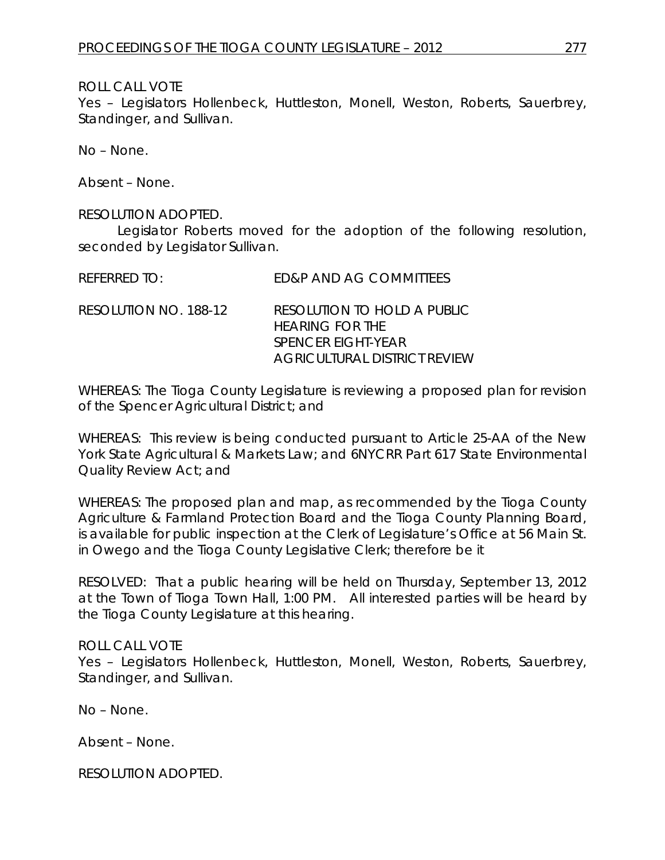Yes – Legislators Hollenbeck, Huttleston, Monell, Weston, Roberts, Sauerbrey, Standinger, and Sullivan.

No – None.

Absent – None.

#### RESOLUTION ADOPTED.

Legislator Roberts moved for the adoption of the following resolution, seconded by Legislator Sullivan.

| REFERRED TO:          | ED&P AND AG COMMITTEES                                                                                      |
|-----------------------|-------------------------------------------------------------------------------------------------------------|
| RESOLUTION NO. 188-12 | RESOLUTION TO HOLD A PUBLIC<br><b>HEARING FOR THE</b><br>SPENCER EIGHT-YEAR<br>AGRICULTURAL DISTRICT REVIEW |

WHEREAS: The Tioga County Legislature is reviewing a proposed plan for revision of the Spencer Agricultural District; and

WHEREAS: This review is being conducted pursuant to Article 25-AA of the New York State Agricultural & Markets Law; and 6NYCRR Part 617 State Environmental Quality Review Act; and

WHEREAS: The proposed plan and map, as recommended by the Tioga County Agriculture & Farmland Protection Board and the Tioga County Planning Board, is available for public inspection at the Clerk of Legislature's Office at 56 Main St. in Owego and the Tioga County Legislative Clerk; therefore be it

RESOLVED: That a public hearing will be held on Thursday, September 13, 2012 at the Town of Tioga Town Hall, 1:00 PM. All interested parties will be heard by the Tioga County Legislature at this hearing.

#### ROLL CALL VOTE

Yes – Legislators Hollenbeck, Huttleston, Monell, Weston, Roberts, Sauerbrey, Standinger, and Sullivan.

No – None.

Absent – None.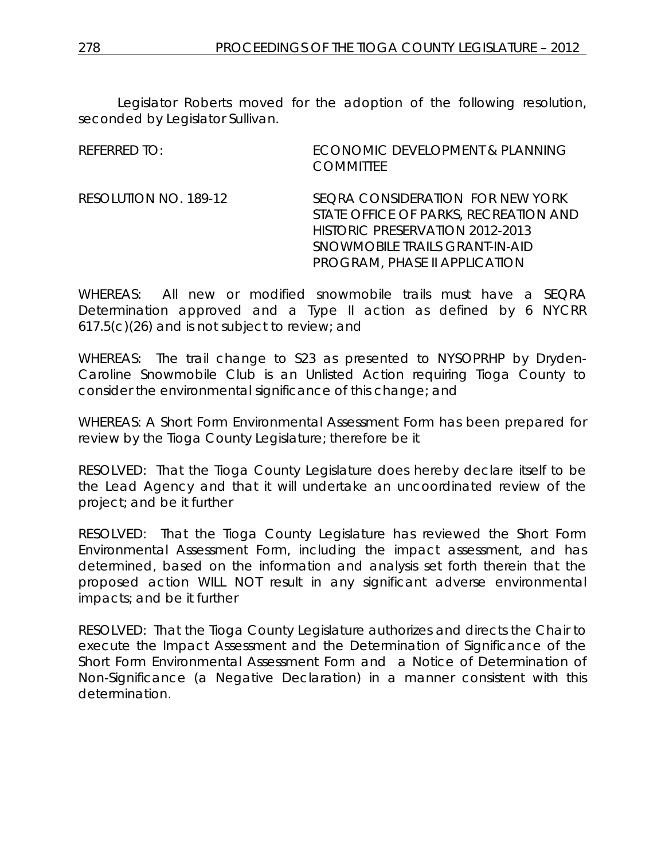Legislator Roberts moved for the adoption of the following resolution, seconded by Legislator Sullivan.

| REFERRED TO:          | ECONOMIC DEVELOPMENT & PLANNING<br><b>COMMITTEE</b>                                                                                                                                    |
|-----------------------|----------------------------------------------------------------------------------------------------------------------------------------------------------------------------------------|
| RESOLUTION NO. 189-12 | SEQRA CONSIDERATION FOR NEW YORK<br>STATE OFFICE OF PARKS, RECREATION AND<br>HISTORIC PRESERVATION 2012-2013<br>SNOWMOBILE TRAILS GRANT-IN-AID<br><b>PROGRAM, PHASE II APPLICATION</b> |

WHEREAS: All new or modified snowmobile trails must have a SEQRA Determination approved and a Type II action as defined by 6 NYCRR 617.5(c)(26) and is not subject to review; and

WHEREAS: The trail change to S23 as presented to NYSOPRHP by Dryden-Caroline Snowmobile Club is an Unlisted Action requiring Tioga County to consider the environmental significance of this change; and

WHEREAS: A Short Form Environmental Assessment Form has been prepared for review by the Tioga County Legislature; therefore be it

RESOLVED: That the Tioga County Legislature does hereby declare itself to be the Lead Agency and that it will undertake an uncoordinated review of the project; and be it further

RESOLVED: That the Tioga County Legislature has reviewed the Short Form Environmental Assessment Form, including the impact assessment, and has determined, based on the information and analysis set forth therein that the proposed action WILL NOT result in any significant adverse environmental impacts; and be it further

RESOLVED: That the Tioga County Legislature authorizes and directs the Chair to execute the Impact Assessment and the Determination of Significance of the Short Form Environmental Assessment Form and a Notice of Determination of Non-Significance (a Negative Declaration) in a manner consistent with this determination.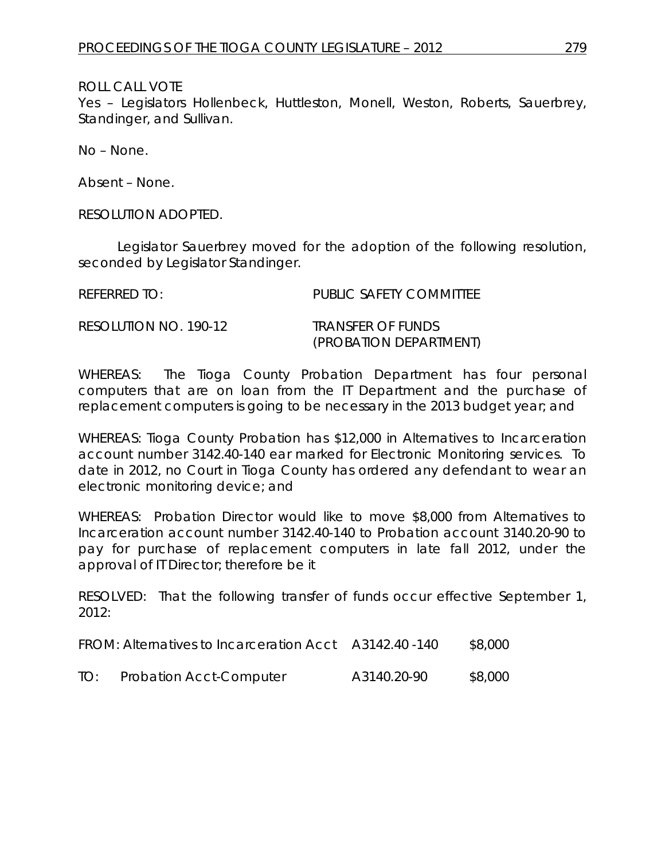Yes – Legislators Hollenbeck, Huttleston, Monell, Weston, Roberts, Sauerbrey, Standinger, and Sullivan.

No – None.

Absent – None.

RESOLUTION ADOPTED.

Legislator Sauerbrey moved for the adoption of the following resolution, seconded by Legislator Standinger.

| REFERRED TO:          | PUBLIC SAFETY COMMITTEE         |
|-----------------------|---------------------------------|
| RESOLUTION NO. 190-12 | <i><b>TRANSFER OF FUNDS</b></i> |
|                       | (PROBATION DEPARTMENT)          |

WHEREAS: The Tioga County Probation Department has four personal computers that are on loan from the IT Department and the purchase of replacement computers is going to be necessary in the 2013 budget year; and

WHEREAS: Tioga County Probation has \$12,000 in Alternatives to Incarceration account number 3142.40-140 ear marked for Electronic Monitoring services. To date in 2012, no Court in Tioga County has ordered any defendant to wear an electronic monitoring device; and

WHEREAS: Probation Director would like to move \$8,000 from Alternatives to Incarceration account number 3142.40-140 to Probation account 3140.20-90 to pay for purchase of replacement computers in late fall 2012, under the approval of IT Director; therefore be it

RESOLVED: That the following transfer of funds occur effective September 1, 2012:

| FROM: Alternatives to Incarceration Acct A3142.40 -140 |  | \$8,000 |
|--------------------------------------------------------|--|---------|
|--------------------------------------------------------|--|---------|

| TO: | <b>Probation Acct-Computer</b> | A3140.20-90 | \$8,000 |
|-----|--------------------------------|-------------|---------|
|     |                                |             |         |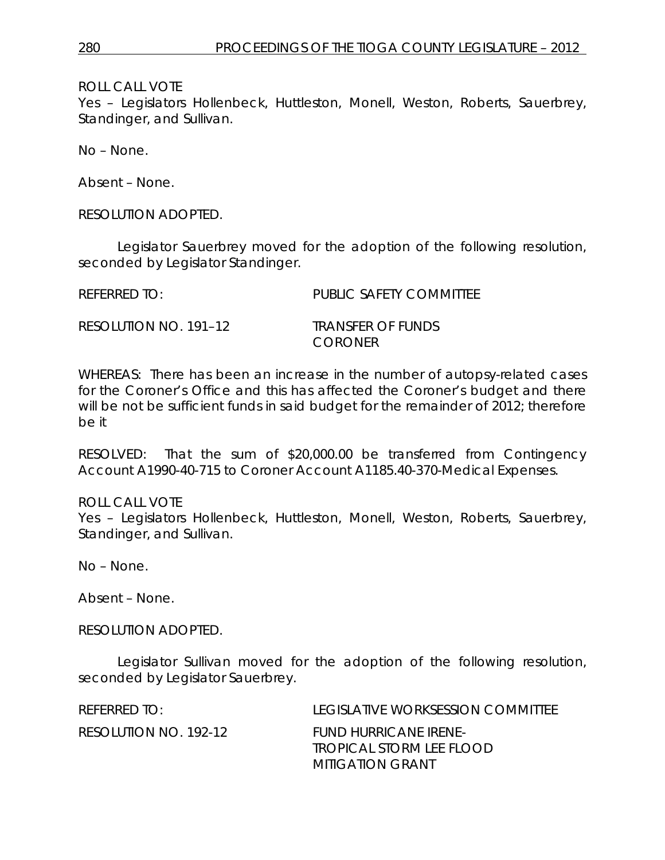Yes – Legislators Hollenbeck, Huttleston, Monell, Weston, Roberts, Sauerbrey, Standinger, and Sullivan.

No – None.

Absent – None.

RESOLUTION ADOPTED.

Legislator Sauerbrey moved for the adoption of the following resolution, seconded by Legislator Standinger.

REFERRED TO: PUBLIC SAFETY COMMITTEE RESOLUTION NO. 191–12 *TRANSFER OF FUNDS*

WHEREAS: There has been an increase in the number of autopsy-related cases for the Coroner's Office and this has affected the Coroner's budget and there will be not be sufficient funds in said budget for the remainder of 2012; therefore be it

*CORONER*

RESOLVED: That the sum of \$20,000.00 be transferred from Contingency Account A1990-40-715 to Coroner Account A1185.40-370-Medical Expenses.

ROLL CALL VOTE Yes – Legislators Hollenbeck, Huttleston, Monell, Weston, Roberts, Sauerbrey, Standinger, and Sullivan.

No – None.

Absent – None.

RESOLUTION ADOPTED.

Legislator Sullivan moved for the adoption of the following resolution, seconded by Legislator Sauerbrey.

| REFERRED TO:          | LEGISLATIVE WORKSESSION COMMITTEE                 |
|-----------------------|---------------------------------------------------|
| RESOLUTION NO. 192-12 | FUND HURRICANE IRENE-<br>TROPICAL STORM LEE FLOOD |
|                       | MITIGATION GRANT                                  |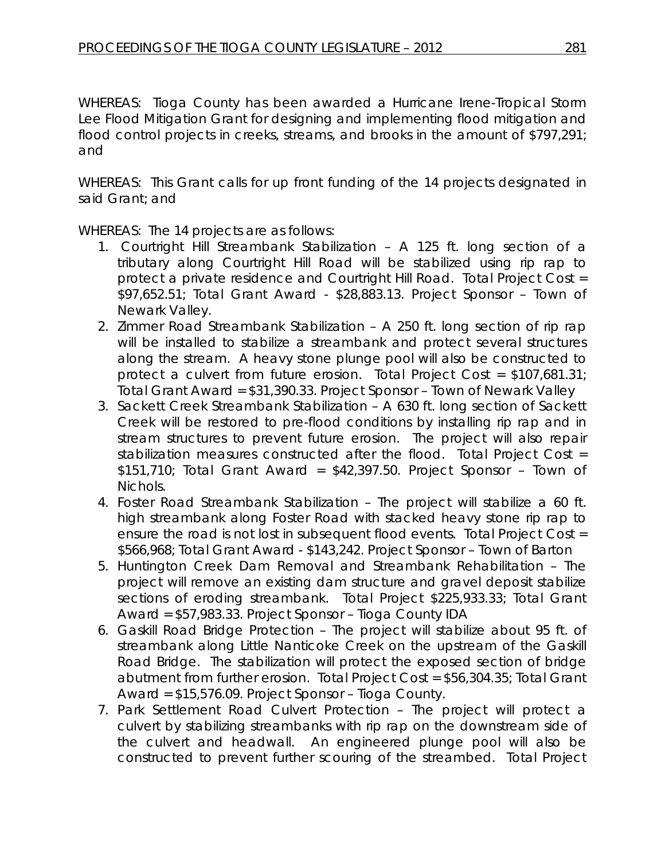WHEREAS: Tioga County has been awarded a Hurricane Irene-Tropical Storm Lee Flood Mitigation Grant for designing and implementing flood mitigation and flood control projects in creeks, streams, and brooks in the amount of \$797,291; and

WHEREAS: This Grant calls for up front funding of the 14 projects designated in said Grant; and

WHEREAS: The 14 projects are as follows:

- 1. Courtright Hill Streambank Stabilization A 125 ft. long section of a tributary along Courtright Hill Road will be stabilized using rip rap to protect a private residence and Courtright Hill Road. Total Project Cost = \$97,652.51; Total Grant Award - \$28,883.13. Project Sponsor – Town of Newark Valley.
- 2. Zimmer Road Streambank Stabilization A 250 ft. long section of rip rap will be installed to stabilize a streambank and protect several structures along the stream. A heavy stone plunge pool will also be constructed to protect a culvert from future erosion. Total Project Cost = \$107,681.31; Total Grant Award = \$31,390.33. Project Sponsor – Town of Newark Valley
- 3. Sackett Creek Streambank Stabilization A 630 ft. long section of Sackett Creek will be restored to pre-flood conditions by installing rip rap and in stream structures to prevent future erosion. The project will also repair stabilization measures constructed after the flood. Total Project Cost = \$151,710; Total Grant Award = \$42,397.50. Project Sponsor – Town of Nichols.
- 4. Foster Road Streambank Stabilization The project will stabilize a 60 ft. high streambank along Foster Road with stacked heavy stone rip rap to ensure the road is not lost in subsequent flood events. Total Project Cost = \$566,968; Total Grant Award - \$143,242. Project Sponsor – Town of Barton
- 5. Huntington Creek Dam Removal and Streambank Rehabilitation The project will remove an existing dam structure and gravel deposit stabilize sections of eroding streambank. Total Project \$225,933.33; Total Grant Award = \$57,983.33. Project Sponsor – Tioga County IDA
- 6. Gaskill Road Bridge Protection The project will stabilize about 95 ft. of streambank along Little Nanticoke Creek on the upstream of the Gaskill Road Bridge. The stabilization will protect the exposed section of bridge abutment from further erosion. Total Project Cost = \$56,304.35; Total Grant Award = \$15,576.09. Project Sponsor – Tioga County.
- 7. Park Settlement Road Culvert Protection The project will protect a culvert by stabilizing streambanks with rip rap on the downstream side of the culvert and headwall. An engineered plunge pool will also be constructed to prevent further scouring of the streambed. Total Project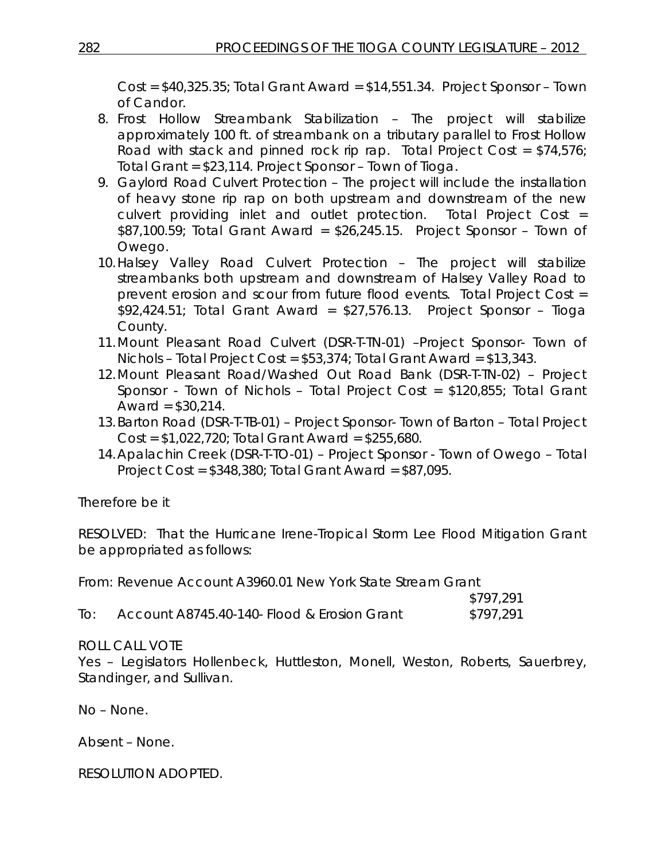Cost = \$40,325.35; Total Grant Award = \$14,551.34. Project Sponsor – Town of Candor.

- 8. Frost Hollow Streambank Stabilization The project will stabilize approximately 100 ft. of streambank on a tributary parallel to Frost Hollow Road with stack and pinned rock rip rap. Total Project Cost =  $$74,576$ ; Total Grant = \$23,114. Project Sponsor – Town of Tioga.
- 9. Gaylord Road Culvert Protection The project will include the installation of heavy stone rip rap on both upstream and downstream of the new culvert providing inlet and outlet protection. Total Project Cost = \$87,100.59; Total Grant Award = \$26,245.15. Project Sponsor – Town of Owego.
- 10.Halsey Valley Road Culvert Protection The project will stabilize streambanks both upstream and downstream of Halsey Valley Road to prevent erosion and scour from future flood events. Total Project Cost =  $$92,424.51$ ; Total Grant Award =  $$27,576.13$ . Project Sponsor – Tioga County.
- 11.Mount Pleasant Road Culvert (DSR-T-TN-01) –Project Sponsor- Town of Nichols – Total Project Cost = \$53,374; Total Grant Award = \$13,343.
- 12.Mount Pleasant Road/Washed Out Road Bank (DSR-T-TN-02) Project Sponsor - Town of Nichols – Total Project Cost = \$120,855; Total Grant Award =  $$30,214$ .
- 13.Barton Road (DSR-T-TB-01) Project Sponsor- Town of Barton Total Project Cost = \$1,022,720; Total Grant Award = \$255,680.
- 14.Apalachin Creek (DSR-T-TO-01) Project Sponsor Town of Owego Total Project Cost = \$348,380; Total Grant Award = \$87,095.

Therefore be it

RESOLVED: That the Hurricane Irene-Tropical Storm Lee Flood Mitigation Grant be appropriated as follows:

From: Revenue Account A3960.01 New York State Stream Grant

|                   |                                             | \$797,291 |
|-------------------|---------------------------------------------|-----------|
| $\overline{1}$ O: | Account A8745.40-140- Flood & Erosion Grant | \$797,291 |

# ROLL CALL VOTE

Yes – Legislators Hollenbeck, Huttleston, Monell, Weston, Roberts, Sauerbrey, Standinger, and Sullivan.

No – None.

Absent – None.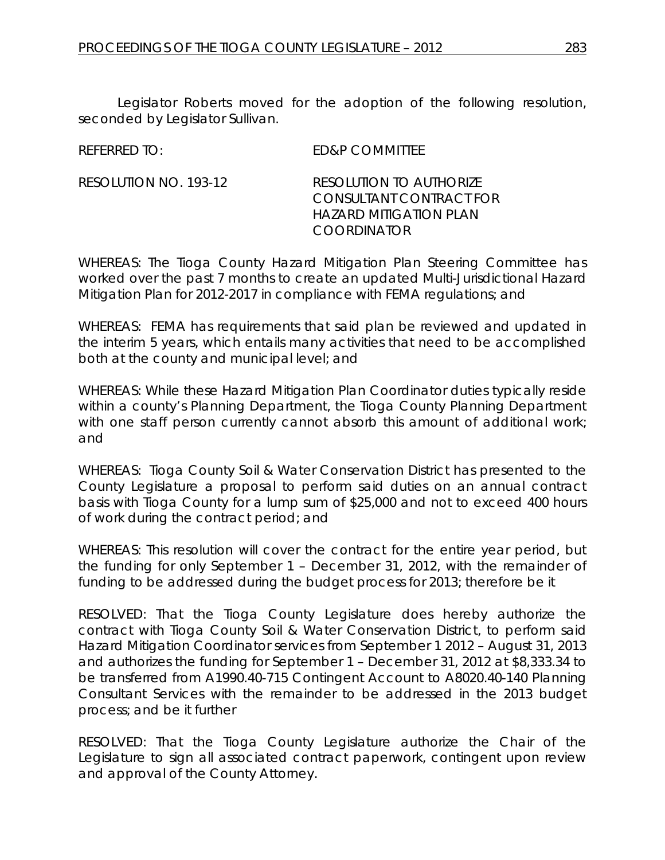Legislator Roberts moved for the adoption of the following resolution, seconded by Legislator Sullivan.

REFERRED TO: ED&P COMMITTEE

RESOLUTION NO. 193-12 *RESOLUTION TO AUTHORIZE CONSULTANT CONTRACT FOR HAZARD MITIGATION PLAN COORDINATOR*

WHEREAS: The Tioga County Hazard Mitigation Plan Steering Committee has worked over the past 7 months to create an updated Multi-Jurisdictional Hazard Mitigation Plan for 2012-2017 in compliance with FEMA regulations; and

WHEREAS: FEMA has requirements that said plan be reviewed and updated in the interim 5 years, which entails many activities that need to be accomplished both at the county and municipal level; and

WHEREAS: While these Hazard Mitigation Plan Coordinator duties typically reside within a county's Planning Department, the Tioga County Planning Department with one staff person currently cannot absorb this amount of additional work; and

WHEREAS: Tioga County Soil & Water Conservation District has presented to the County Legislature a proposal to perform said duties on an annual contract basis with Tioga County for a lump sum of \$25,000 and not to exceed 400 hours of work during the contract period; and

WHEREAS: This resolution will cover the contract for the entire year period, but the funding for only September 1 – December 31, 2012, with the remainder of funding to be addressed during the budget process for 2013; therefore be it

RESOLVED: That the Tioga County Legislature does hereby authorize the contract with Tioga County Soil & Water Conservation District, to perform said Hazard Mitigation Coordinator services from September 1 2012 – August 31, 2013 and authorizes the funding for September 1 – December 31, 2012 at \$8,333.34 to be transferred from A1990.40-715 Contingent Account to A8020.40-140 Planning Consultant Services with the remainder to be addressed in the 2013 budget process; and be it further

RESOLVED: That the Tioga County Legislature authorize the Chair of the Legislature to sign all associated contract paperwork, contingent upon review and approval of the County Attorney.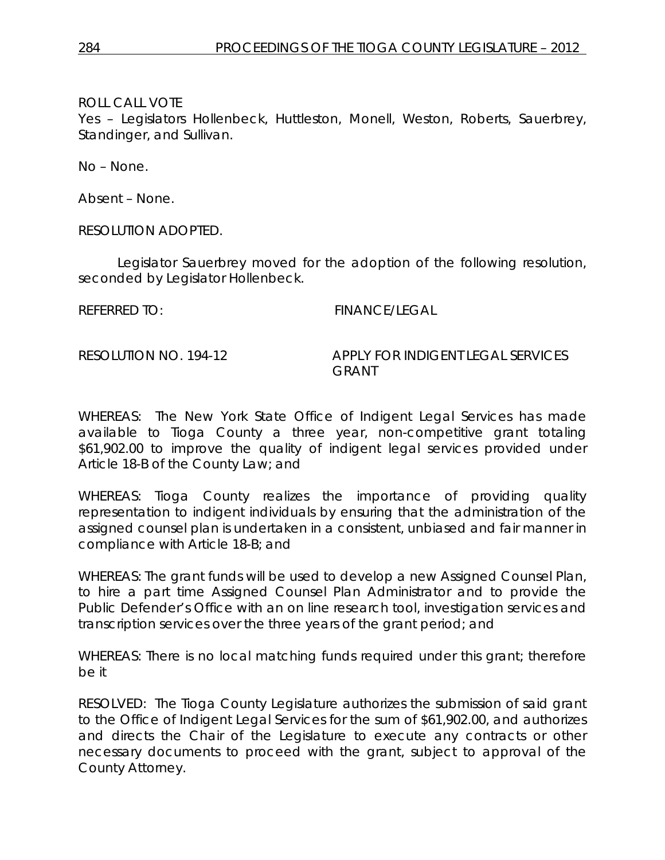Yes – Legislators Hollenbeck, Huttleston, Monell, Weston, Roberts, Sauerbrey, Standinger, and Sullivan.

No – None.

Absent – None.

RESOLUTION ADOPTED.

Legislator Sauerbrey moved for the adoption of the following resolution, seconded by Legislator Hollenbeck.

REFERRED TO: FINANCE/LEGAL

RESOLUTION NO. 194-12 *APPLY FOR INDIGENT LEGAL SERVICES GRANT*

WHEREAS: The New York State Office of Indigent Legal Services has made available to Tioga County a three year, non-competitive grant totaling \$61,902.00 to improve the quality of indigent legal services provided under Article 18-B of the County Law; and

WHEREAS: Tioga County realizes the importance of providing quality representation to indigent individuals by ensuring that the administration of the assigned counsel plan is undertaken in a consistent, unbiased and fair manner in compliance with Article 18-B; and

WHEREAS: The grant funds will be used to develop a new Assigned Counsel Plan, to hire a part time Assigned Counsel Plan Administrator and to provide the Public Defender's Office with an on line research tool, investigation services and transcription services over the three years of the grant period; and

WHEREAS: There is no local matching funds required under this grant; therefore be it

RESOLVED: The Tioga County Legislature authorizes the submission of said grant to the Office of Indigent Legal Services for the sum of \$61,902.00, and authorizes and directs the Chair of the Legislature to execute any contracts or other necessary documents to proceed with the grant, subject to approval of the County Attorney.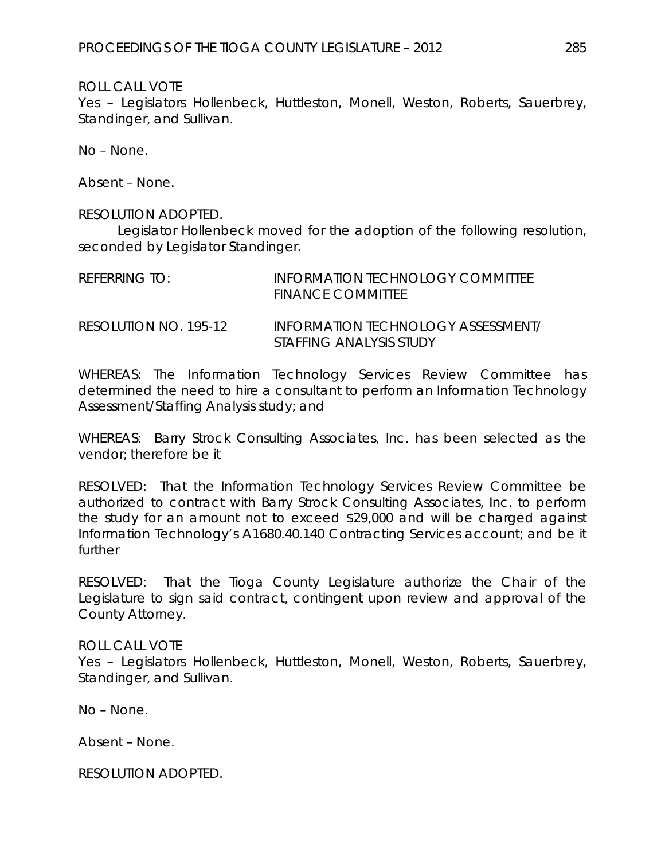Yes – Legislators Hollenbeck, Huttleston, Monell, Weston, Roberts, Sauerbrey, Standinger, and Sullivan.

No – None.

Absent – None.

#### RESOLUTION ADOPTED.

Legislator Hollenbeck moved for the adoption of the following resolution, seconded by Legislator Standinger.

| REFERRING TO:         | <b>INFORMATION TECHNOLOGY COMMITTEE</b><br>FINANCE COMMITTEE |
|-----------------------|--------------------------------------------------------------|
| RESOLUTION NO. 195-12 | INFORMATION TECHNOLOGY ASSESSMENT/                           |

WHEREAS: The Information Technology Services Review Committee has determined the need to hire a consultant to perform an Information Technology Assessment/Staffing Analysis study; and

*STAFFING ANALYSIS STUDY*

WHEREAS: Barry Strock Consulting Associates, Inc. has been selected as the vendor; therefore be it

RESOLVED: That the Information Technology Services Review Committee be authorized to contract with Barry Strock Consulting Associates, Inc. to perform the study for an amount not to exceed \$29,000 and will be charged against Information Technology's A1680.40.140 Contracting Services account; and be it further

RESOLVED: That the Tioga County Legislature authorize the Chair of the Legislature to sign said contract, contingent upon review and approval of the County Attorney.

#### ROLL CALL VOTE

Yes – Legislators Hollenbeck, Huttleston, Monell, Weston, Roberts, Sauerbrey, Standinger, and Sullivan.

No – None.

Absent – None.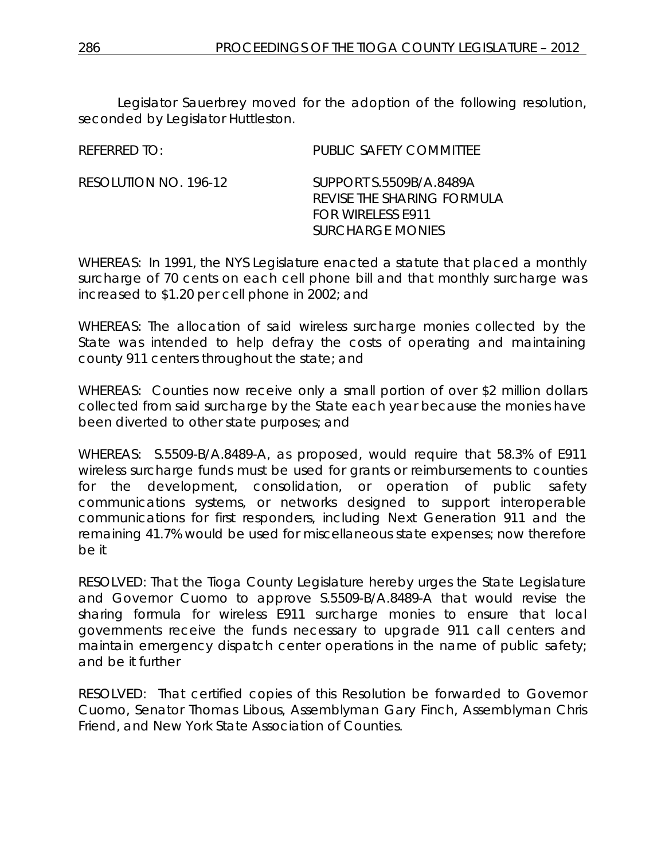Legislator Sauerbrey moved for the adoption of the following resolution, seconded by Legislator Huttleston.

| REFERRED TO:          | PUBLIC SAFETY COMMITTEE                                                           |
|-----------------------|-----------------------------------------------------------------------------------|
| RESOLUTION NO. 196-12 | SUPPORT S.5509B/A.8489A<br>REVISE THE SHARING FORMULA<br><b>FOR WIRELESS E911</b> |
|                       | <b>SURCHARGE MONIES</b>                                                           |

WHEREAS: In 1991, the NYS Legislature enacted a statute that placed a monthly surcharge of 70 cents on each cell phone bill and that monthly surcharge was increased to \$1.20 per cell phone in 2002; and

WHEREAS: The allocation of said wireless surcharge monies collected by the State was intended to help defray the costs of operating and maintaining county 911 centers throughout the state; and

WHEREAS: Counties now receive only a small portion of over \$2 million dollars collected from said surcharge by the State each year because the monies have been diverted to other state purposes; and

WHEREAS: S.5509-B/A.8489-A, as proposed, would require that 58.3% of E911 wireless surcharge funds must be used for grants or reimbursements to counties for the development, consolidation, or operation of public safety communications systems, or networks designed to support interoperable communications for first responders, including Next Generation 911 and the remaining 41.7% would be used for miscellaneous state expenses; now therefore be it

RESOLVED: That the Tioga County Legislature hereby urges the State Legislature and Governor Cuomo to approve S.5509-B/A.8489-A that would revise the sharing formula for wireless E911 surcharge monies to ensure that local governments receive the funds necessary to upgrade 911 call centers and maintain emergency dispatch center operations in the name of public safety; and be it further

RESOLVED: That certified copies of this Resolution be forwarded to Governor Cuomo, Senator Thomas Libous, Assemblyman Gary Finch, Assemblyman Chris Friend, and New York State Association of Counties.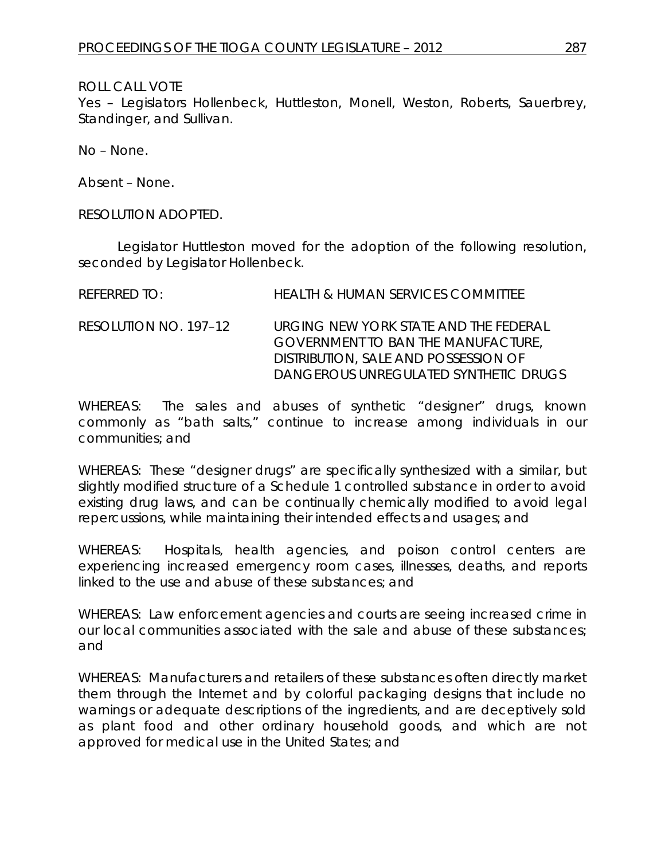Yes – Legislators Hollenbeck, Huttleston, Monell, Weston, Roberts, Sauerbrey, Standinger, and Sullivan.

No – None.

Absent – None.

RESOLUTION ADOPTED.

Legislator Huttleston moved for the adoption of the following resolution, seconded by Legislator Hollenbeck.

| REFERRED TO:          | <b>HEALTH &amp; HUMAN SERVICES COMMITTEE</b>                                                                                                                        |
|-----------------------|---------------------------------------------------------------------------------------------------------------------------------------------------------------------|
| RESOLUTION NO. 197-12 | URGING NEW YORK STATE AND THE FEDERAL<br><b>GOVERNMENT TO BAN THE MANUFACTURE,</b><br>DISTRIBUTION, SALE AND POSSESSION OF<br>DANGEROUS UNREGULATED SYNTHETIC DRUGS |

WHEREAS: The sales and abuses of synthetic "designer" drugs, known commonly as "bath salts," continue to increase among individuals in our communities; and

WHEREAS: These "designer drugs" are specifically synthesized with a similar, but slightly modified structure of a Schedule 1 controlled substance in order to avoid existing drug laws, and can be continually chemically modified to avoid legal repercussions, while maintaining their intended effects and usages; and

WHEREAS: Hospitals, health agencies, and poison control centers are experiencing increased emergency room cases, illnesses, deaths, and reports linked to the use and abuse of these substances; and

WHEREAS: Law enforcement agencies and courts are seeing increased crime in our local communities associated with the sale and abuse of these substances; and

WHEREAS: Manufacturers and retailers of these substances often directly market them through the Internet and by colorful packaging designs that include no warnings or adequate descriptions of the ingredients, and are deceptively sold as plant food and other ordinary household goods, and which are not approved for medical use in the United States; and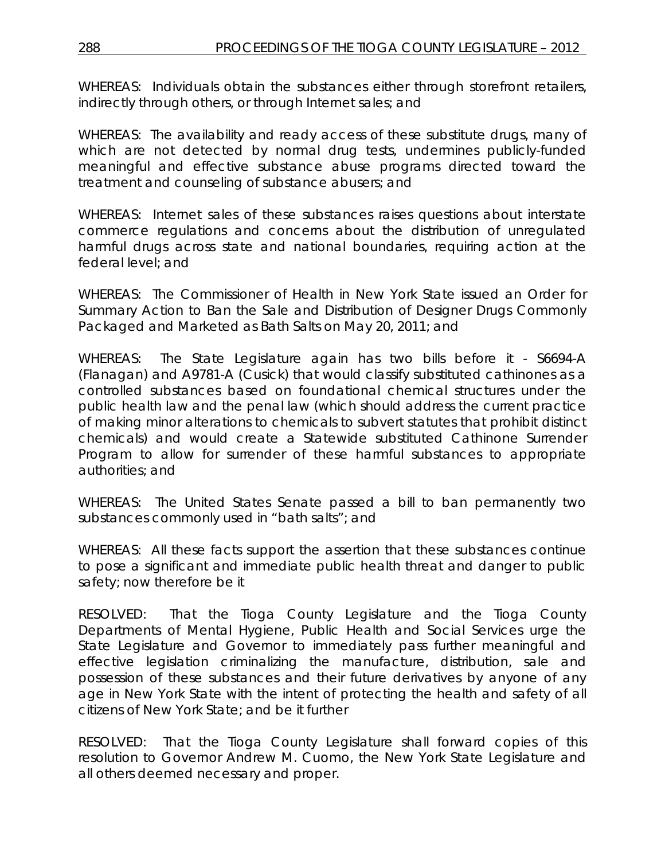WHEREAS: Individuals obtain the substances either through storefront retailers, indirectly through others, or through Internet sales; and

WHEREAS: The availability and ready access of these substitute drugs, many of which are not detected by normal drug tests, undermines publicly-funded meaningful and effective substance abuse programs directed toward the treatment and counseling of substance abusers; and

WHEREAS: Internet sales of these substances raises questions about interstate commerce regulations and concerns about the distribution of unregulated harmful drugs across state and national boundaries, requiring action at the federal level; and

WHEREAS: The Commissioner of Health in New York State issued an Order for Summary Action to Ban the Sale and Distribution of Designer Drugs Commonly Packaged and Marketed as Bath Salts on May 20, 2011; and

WHEREAS: The State Legislature again has two bills before it - S6694-A (Flanagan) and A9781-A (Cusick) that would classify substituted cathinones as a controlled substances based on foundational chemical structures under the public health law and the penal law (which should address the current practice of making minor alterations to chemicals to subvert statutes that prohibit distinct chemicals) and would create a Statewide substituted Cathinone Surrender Program to allow for surrender of these harmful substances to appropriate authorities; and

WHEREAS: The United States Senate passed a bill to ban permanently two substances commonly used in "bath salts"; and

WHEREAS: All these facts support the assertion that these substances continue to pose a significant and immediate public health threat and danger to public safety; now therefore be it

RESOLVED: That the Tioga County Legislature and the Tioga County Departments of Mental Hygiene, Public Health and Social Services urge the State Legislature and Governor to immediately pass further meaningful and effective legislation criminalizing the manufacture, distribution, sale and possession of these substances and their future derivatives by anyone of any age in New York State with the intent of protecting the health and safety of all citizens of New York State; and be it further

RESOLVED: That the Tioga County Legislature shall forward copies of this resolution to Governor Andrew M. Cuomo, the New York State Legislature and all others deemed necessary and proper.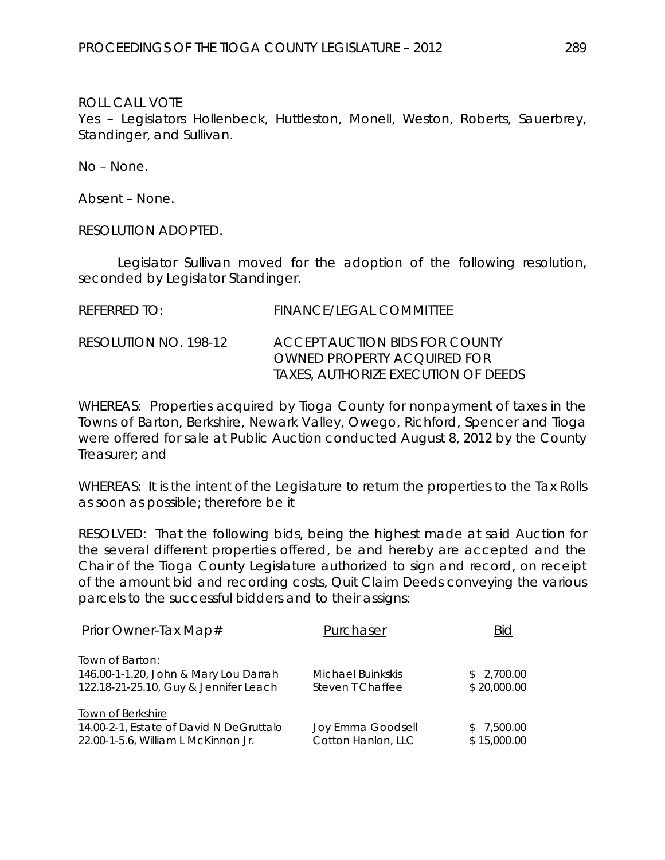Yes – Legislators Hollenbeck, Huttleston, Monell, Weston, Roberts, Sauerbrey, Standinger, and Sullivan.

No – None.

Absent – None.

RESOLUTION ADOPTED.

Legislator Sullivan moved for the adoption of the following resolution, seconded by Legislator Standinger.

| REFERRED TO:          | <b>FINANCE/LEGAL COMMITTEE</b>                                                                       |
|-----------------------|------------------------------------------------------------------------------------------------------|
| RESOLUTION NO. 198-12 | ACCEPT AUCTION BIDS FOR COUNTY<br>OWNED PROPERTY ACOUIRED FOR<br>TAXES, AUTHORIZE EXECUTION OF DEEDS |

WHEREAS: Properties acquired by Tioga County for nonpayment of taxes in the Towns of Barton, Berkshire, Newark Valley, Owego, Richford, Spencer and Tioga were offered for sale at Public Auction conducted August 8, 2012 by the County Treasurer; and

WHEREAS: It is the intent of the Legislature to return the properties to the Tax Rolls as soon as possible; therefore be it

RESOLVED: That the following bids, being the highest made at said Auction for the several different properties offered, be and hereby are accepted and the Chair of the Tioga County Legislature authorized to sign and record, on receipt of the amount bid and recording costs, Quit Claim Deeds conveying the various parcels to the successful bidders and to their assigns:

| Prior Owner-Tax Map#                                                                              | Purchaser                             | Bid                       |
|---------------------------------------------------------------------------------------------------|---------------------------------------|---------------------------|
| Town of Barton:<br>146.00-1-1.20, John & Mary Lou Darrah<br>122.18-21-25.10, Guy & Jennifer Leach | Michael Buinkskis<br>Steven T Chaffee | \$2,700.00<br>\$20,000.00 |
| Town of Berkshire<br>14.00-2-1, Estate of David N DeGruttalo                                      | Joy Emma Goodsell                     | \$7,500.00                |
| 22.00-1-5.6, William L McKinnon Jr.                                                               | Cotton Hanlon, LLC                    | \$15,000.00               |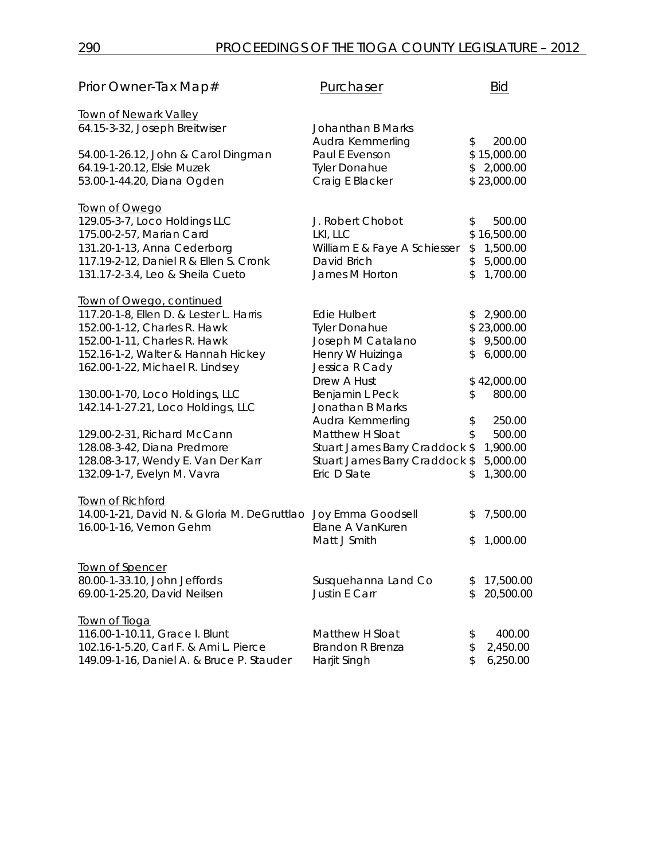| Prior Owner-Tax Map#                        | Purchaser                      | <b>Bid</b>      |
|---------------------------------------------|--------------------------------|-----------------|
| <b>Town of Newark Valley</b>                |                                |                 |
| 64.15-3-32, Joseph Breitwiser               | Johanthan B Marks              |                 |
|                                             | Audra Kemmerling               | \$<br>200.00    |
| 54.00-1-26.12, John & Carol Dingman         | Paul E Evenson                 | \$15,000.00     |
| 64.19-1-20.12, Elsie Muzek                  | <b>Tyler Donahue</b>           | \$2,000.00      |
| 53.00-1-44.20, Diana Ogden                  | Craig E Blacker                | \$23,000.00     |
| Town of Owego                               |                                |                 |
| 129.05-3-7, Loco Holdings LLC               | J. Robert Chobot               | \$<br>500.00    |
| 175.00-2-57, Marian Card                    | LKI, LLC                       | \$16,500.00     |
| 131.20-1-13, Anna Cederborg                 | William E & Faye A Schiesser   | \$<br>1,500.00  |
| 117.19-2-12, Daniel R & Ellen S. Cronk      | David Brich                    | \$<br>5,000.00  |
| 131.17-2-3.4, Leo & Sheila Cueto            | James M Horton                 | \$<br>1,700.00  |
| Town of Owego, continued                    |                                |                 |
| 117.20-1-8, Ellen D. & Lester L. Harris     | <b>Edie Hulbert</b>            | \$<br>2,900.00  |
| 152.00-1-12, Charles R. Hawk                | <b>Tyler Donahue</b>           | \$23,000.00     |
| 152.00-1-11, Charles R. Hawk                | Joseph M Catalano              | \$<br>9,500.00  |
| 152.16-1-2, Walter & Hannah Hickey          | Henry W Huizinga               | \$<br>6,000.00  |
| 162.00-1-22, Michael R. Lindsey             | Jessica R Cady                 |                 |
|                                             | Drew A Hust                    | \$42,000.00     |
| 130.00-1-70, Loco Holdings, LLC             | Benjamin L Peck                | \$<br>800.00    |
| 142.14-1-27.21, Loco Holdings, LLC          | Jonathan B Marks               |                 |
|                                             | Audra Kemmerling               | \$<br>250.00    |
| 129.00-2-31, Richard McCann                 | Matthew H Sloat                | \$<br>500.00    |
| 128.08-3-42, Diana Predmore                 | Stuart James Barry Craddock \$ | 1,900.00        |
| 128.08-3-17, Wendy E. Van Der Karr          | Stuart James Barry Craddock \$ | 5,000.00        |
| 132.09-1-7, Evelyn M. Vavra                 | Eric D Slate                   | \$<br>1,300.00  |
| Town of Richford                            |                                |                 |
| 14.00-1-21, David N. & Gloria M. DeGruttlao | Joy Emma Goodsell              | \$<br>7,500.00  |
| 16.00-1-16, Vernon Gehm                     | Elane A VanKuren               |                 |
|                                             | Matt J Smith                   | \$<br>1,000.00  |
|                                             |                                |                 |
| Town of Spencer                             |                                |                 |
| 80.00-1-33.10, John Jeffords                | Susquehanna Land Co            | \$<br>17,500.00 |
| 69.00-1-25.20, David Neilsen                | <b>Justin E Carr</b>           | \$<br>20,500.00 |
| Town of Tioga                               |                                |                 |
| 116.00-1-10.11, Grace I. Blunt              | Matthew H Sloat                | \$<br>400.00    |
| 102.16-1-5.20, Carl F. & Ami L. Pierce      | <b>Brandon R Brenza</b>        | \$<br>2,450.00  |
| 149.09-1-16, Daniel A. & Bruce P. Stauder   | Harjit Singh                   | \$<br>6,250.00  |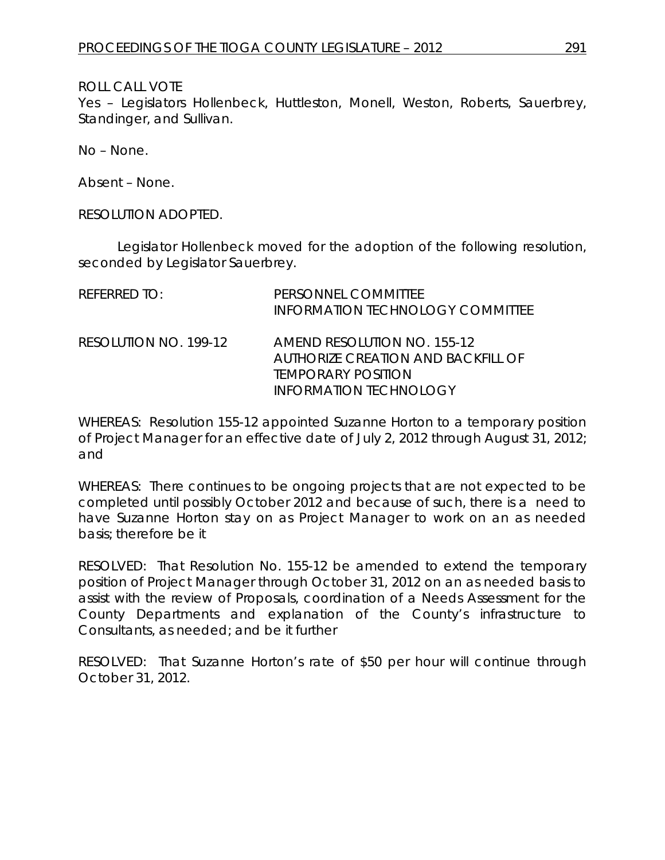Yes – Legislators Hollenbeck, Huttleston, Monell, Weston, Roberts, Sauerbrey, Standinger, and Sullivan.

No – None.

Absent – None.

RESOLUTION ADOPTED.

Legislator Hollenbeck moved for the adoption of the following resolution, seconded by Legislator Sauerbrey.

| REFERRED TO:          | PERSONNEL COMMITTEE<br><b>INFORMATION TECHNOLOGY COMMITTEE</b>                                                                  |
|-----------------------|---------------------------------------------------------------------------------------------------------------------------------|
| RESOLUTION NO. 199-12 | AMEND RESOLUTION NO. 155-12<br>AUTHORIZE CREATION AND BACKFILL OF<br><i><b>TEMPORARY POSITION</b></i><br>INFORMATION TECHNOLOGY |

WHEREAS: Resolution 155-12 appointed Suzanne Horton to a temporary position of Project Manager for an effective date of July 2, 2012 through August 31, 2012; and

WHEREAS: There continues to be ongoing projects that are not expected to be completed until possibly October 2012 and because of such, there is a need to have Suzanne Horton stay on as Project Manager to work on an as needed basis; therefore be it

RESOLVED: That Resolution No. 155-12 be amended to extend the temporary position of Project Manager through October 31, 2012 on an as needed basis to assist with the review of Proposals, coordination of a Needs Assessment for the County Departments and explanation of the County's infrastructure to Consultants, as needed; and be it further

RESOLVED: That Suzanne Horton's rate of \$50 per hour will continue through October 31, 2012.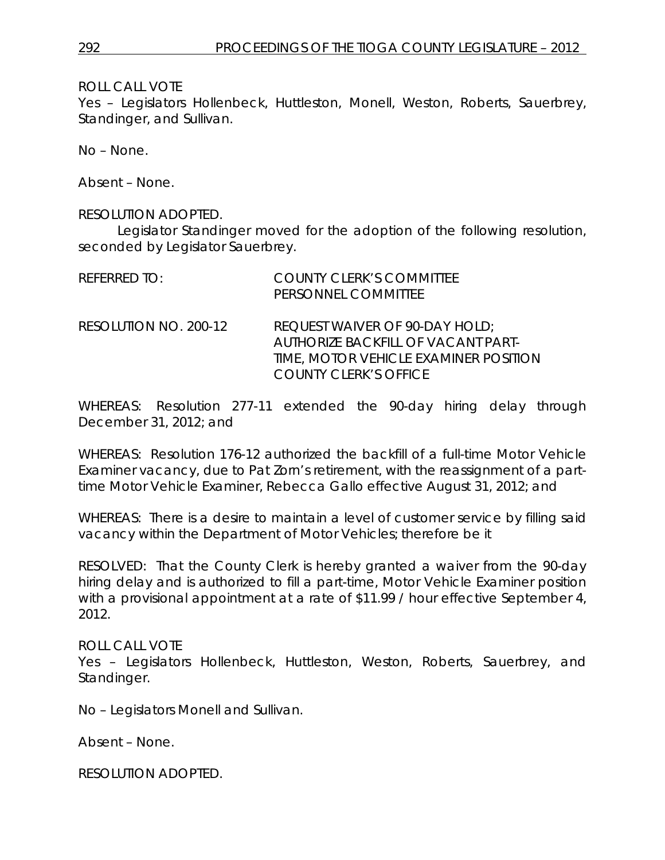Yes – Legislators Hollenbeck, Huttleston, Monell, Weston, Roberts, Sauerbrey, Standinger, and Sullivan.

No – None.

Absent – None.

#### RESOLUTION ADOPTED.

Legislator Standinger moved for the adoption of the following resolution, seconded by Legislator Sauerbrey.

| REFERRED TO:          | <b>COUNTY CLERK'S COMMITTEE</b><br>PERSONNEL COMMITTEE                                                                                        |
|-----------------------|-----------------------------------------------------------------------------------------------------------------------------------------------|
| RESOLUTION NO. 200-12 | REQUEST WAIVER OF 90-DAY HOLD;<br>AUTHORIZE BACKFILL OF VACANT PART-<br>TIME, MOTOR VEHICLE EXAMINER POSITION<br><b>COUNTY CLERK'S OFFICE</b> |

WHEREAS: Resolution 277-11 extended the 90-day hiring delay through December 31, 2012; and

WHEREAS: Resolution 176-12 authorized the backfill of a full-time Motor Vehicle Examiner vacancy, due to Pat Zorn's retirement, with the reassignment of a parttime Motor Vehicle Examiner, Rebecca Gallo effective August 31, 2012; and

WHEREAS: There is a desire to maintain a level of customer service by filling said vacancy within the Department of Motor Vehicles; therefore be it

RESOLVED: That the County Clerk is hereby granted a waiver from the 90-day hiring delay and is authorized to fill a part-time, Motor Vehicle Examiner position with a provisional appointment at a rate of \$11.99 / hour effective September 4, 2012.

#### ROLL CALL VOTE

Yes – Legislators Hollenbeck, Huttleston, Weston, Roberts, Sauerbrey, and Standinger.

No – Legislators Monell and Sullivan.

Absent – None.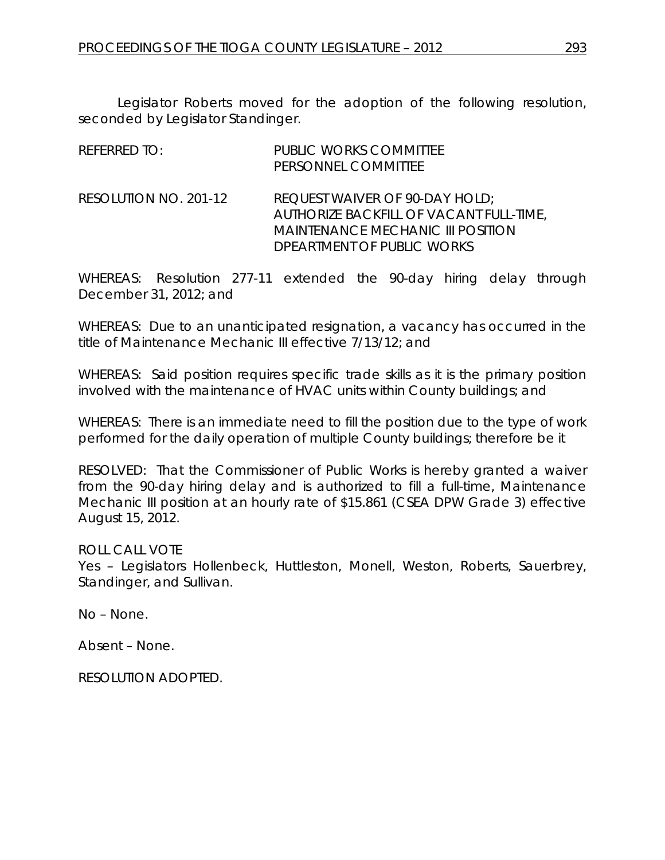Legislator Roberts moved for the adoption of the following resolution, seconded by Legislator Standinger.

| <b>REFERRED TO:</b>   | <b>PUBLIC WORKS COMMITTEE</b><br>PERSONNEL COMMITTEE                                                                                                |
|-----------------------|-----------------------------------------------------------------------------------------------------------------------------------------------------|
| RESOLUTION NO. 201-12 | REQUEST WAIVER OF 90-DAY HOLD;<br>AUTHORIZE BACKFILL OF VACANT FULL-TIME,<br><b>MAINTENANCE MECHANIC III POSITION</b><br>DPEARTMENT OF PUBLIC WORKS |

WHEREAS: Resolution 277-11 extended the 90-day hiring delay through December 31, 2012; and

WHEREAS: Due to an unanticipated resignation, a vacancy has occurred in the title of Maintenance Mechanic III effective 7/13/12; and

WHEREAS: Said position requires specific trade skills as it is the primary position involved with the maintenance of HVAC units within County buildings; and

WHEREAS: There is an immediate need to fill the position due to the type of work performed for the daily operation of multiple County buildings; therefore be it

RESOLVED: That the Commissioner of Public Works is hereby granted a waiver from the 90-day hiring delay and is authorized to fill a full-time, Maintenance Mechanic III position at an hourly rate of \$15.861 (CSEA DPW Grade 3) effective August 15, 2012.

ROLL CALL VOTE

Yes – Legislators Hollenbeck, Huttleston, Monell, Weston, Roberts, Sauerbrey, Standinger, and Sullivan.

No – None.

Absent – None.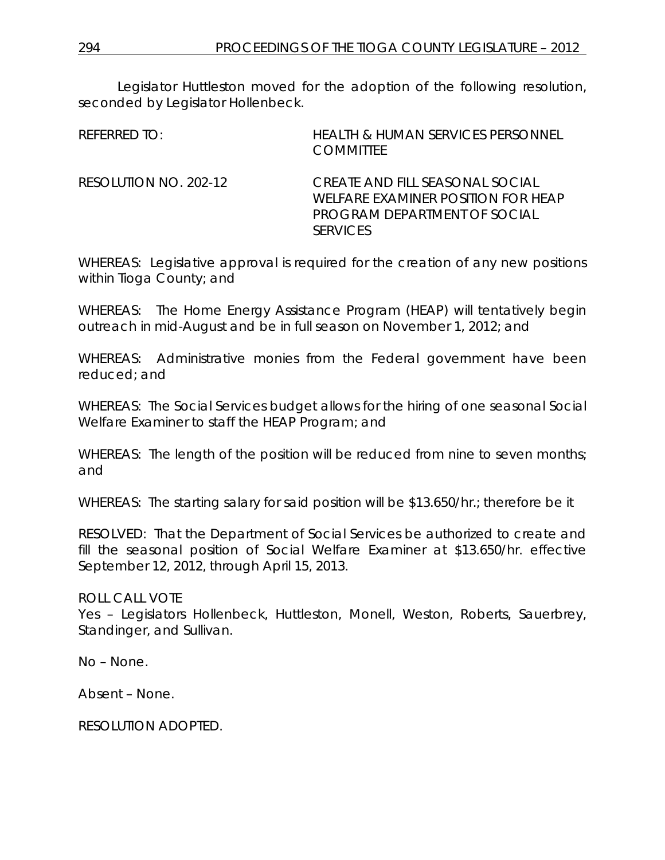Legislator Huttleston moved for the adoption of the following resolution, seconded by Legislator Hollenbeck.

| REFERRED TO:          | <b>HEALTH &amp; HUMAN SERVICES PERSONNEL</b><br><b>COMMITTEE</b>                                                                |
|-----------------------|---------------------------------------------------------------------------------------------------------------------------------|
| RESOLUTION NO. 202-12 | CREATE AND FILL SEASONAL SOCIAL<br><b>WELFARE EXAMINER POSITION FOR HEAP</b><br>PROGRAM DEPARTMENT OF SOCIAL<br><b>SERVICES</b> |

WHEREAS: Legislative approval is required for the creation of any new positions within Tioga County; and

WHEREAS: The Home Energy Assistance Program (HEAP) will tentatively begin outreach in mid-August and be in full season on November 1, 2012; and

WHEREAS: Administrative monies from the Federal government have been reduced; and

WHEREAS: The Social Services budget allows for the hiring of one seasonal Social Welfare Examiner to staff the HEAP Program; and

WHEREAS: The length of the position will be reduced from nine to seven months; and

WHEREAS: The starting salary for said position will be \$13.650/hr.; therefore be it

RESOLVED: That the Department of Social Services be authorized to create and fill the seasonal position of Social Welfare Examiner at \$13.650/hr. effective September 12, 2012, through April 15, 2013.

ROLL CALL VOTE

Yes – Legislators Hollenbeck, Huttleston, Monell, Weston, Roberts, Sauerbrey, Standinger, and Sullivan.

No – None.

Absent – None.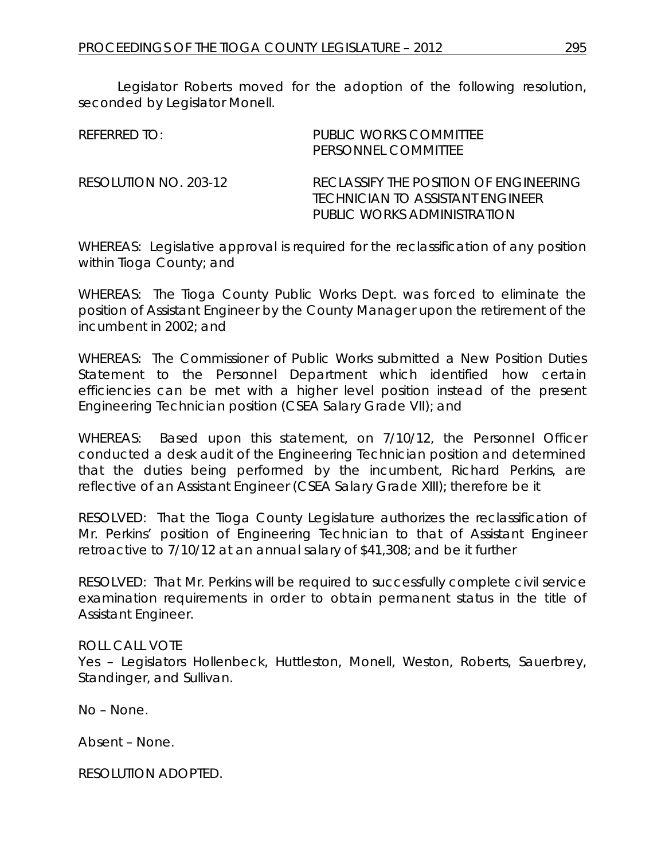Legislator Roberts moved for the adoption of the following resolution, seconded by Legislator Monell.

| $R$ FFFRRFD TO:       | PUBLIC WORKS COMMITTEE<br>PERSONNEL COMMITTEE                                                             |
|-----------------------|-----------------------------------------------------------------------------------------------------------|
| RESOLUTION NO. 203-12 | RECLASSIFY THE POSITION OF ENGINEERING<br>TECHNICIAN TO ASSISTANT ENGINEER<br>PUBLIC WORKS ADMINISTRATION |

WHEREAS: Legislative approval is required for the reclassification of any position within Tioga County; and

WHEREAS: The Tioga County Public Works Dept. was forced to eliminate the position of Assistant Engineer by the County Manager upon the retirement of the incumbent in 2002; and

WHEREAS: The Commissioner of Public Works submitted a New Position Duties Statement to the Personnel Department which identified how certain efficiencies can be met with a higher level position instead of the present Engineering Technician position (CSEA Salary Grade VII); and

WHEREAS: Based upon this statement, on 7/10/12, the Personnel Officer conducted a desk audit of the Engineering Technician position and determined that the duties being performed by the incumbent, Richard Perkins, are reflective of an Assistant Engineer (CSEA Salary Grade XIII); therefore be it

RESOLVED: That the Tioga County Legislature authorizes the reclassification of Mr. Perkins' position of Engineering Technician to that of Assistant Engineer retroactive to 7/10/12 at an annual salary of \$41,308; and be it further

RESOLVED: That Mr. Perkins will be required to successfully complete civil service examination requirements in order to obtain permanent status in the title of Assistant Engineer.

#### ROLL CALL VOTE

Yes – Legislators Hollenbeck, Huttleston, Monell, Weston, Roberts, Sauerbrey, Standinger, and Sullivan.

No – None.

Absent – None.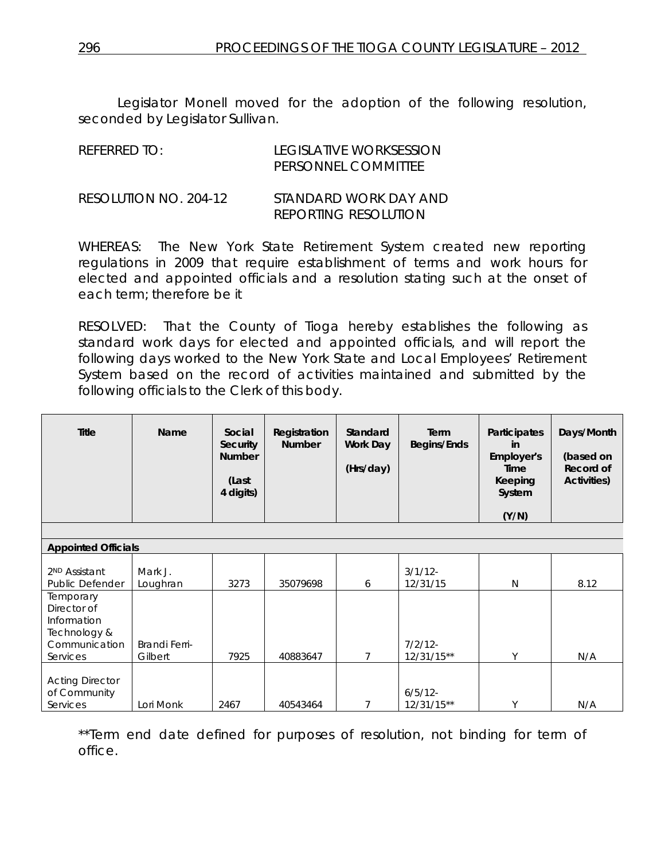Legislator Monell moved for the adoption of the following resolution, seconded by Legislator Sullivan.

| REFERRED TO:          | LEGISLATIVE WORKSESSION<br>PERSONNEL COMMITTEE       |
|-----------------------|------------------------------------------------------|
| RESOLUTION NO. 204-12 | STANDARD WORK DAY AND<br><b>REPORTING RESOLUTION</b> |

WHEREAS: The New York State Retirement System created new reporting regulations in 2009 that require establishment of terms and work hours for elected and appointed officials and a resolution stating such at the onset of each term; therefore be it

RESOLVED: That the County of Tioga hereby establishes the following as standard work days for elected and appointed officials, and will report the following days worked to the New York State and Local Employees' Retirement System based on the record of activities maintained and submitted by the following officials to the Clerk of this body.

| Title | <b>Name</b> | Social<br><b>Security</b><br><b>Number</b><br>(Last<br>4 digits) | Registration<br><b>Number</b> | Standard<br>Work Day<br>(Hrs/day) | Term<br>Begins/Ends | <b>Participates</b><br>in<br>Employer's<br>Time<br>Keeping<br>System | Days/Month<br>(based on<br>Record of<br><b>Activities)</b> |
|-------|-------------|------------------------------------------------------------------|-------------------------------|-----------------------------------|---------------------|----------------------------------------------------------------------|------------------------------------------------------------|
|       |             |                                                                  |                               |                                   |                     | (Y/N)                                                                |                                                            |

| <b>Appointed Officials</b>                                                           |                          |      |          |   |                            |        |      |
|--------------------------------------------------------------------------------------|--------------------------|------|----------|---|----------------------------|--------|------|
| 2 <sup>ND</sup> Assistant<br><b>Public Defender</b>                                  | Mark J.<br>Loughran      | 3273 | 35079698 | 6 | $3/1/12$ -<br>12/31/15     | N      | 8.12 |
| Temporary<br>Director of<br>Information<br>Technology &<br>Communication<br>Services | Brandi Ferri-<br>Gilbert | 7925 | 40883647 |   | $7/2/12$ -<br>$12/31/15**$ | ٧      | N/A  |
| <b>Acting Director</b><br>of Community<br>Services                                   | Lori Monk                | 2467 | 40543464 |   | $6/5/12$ -<br>$12/31/15**$ | $\vee$ | N/A  |

\*\*Term end date defined for purposes of resolution, not binding for term of office.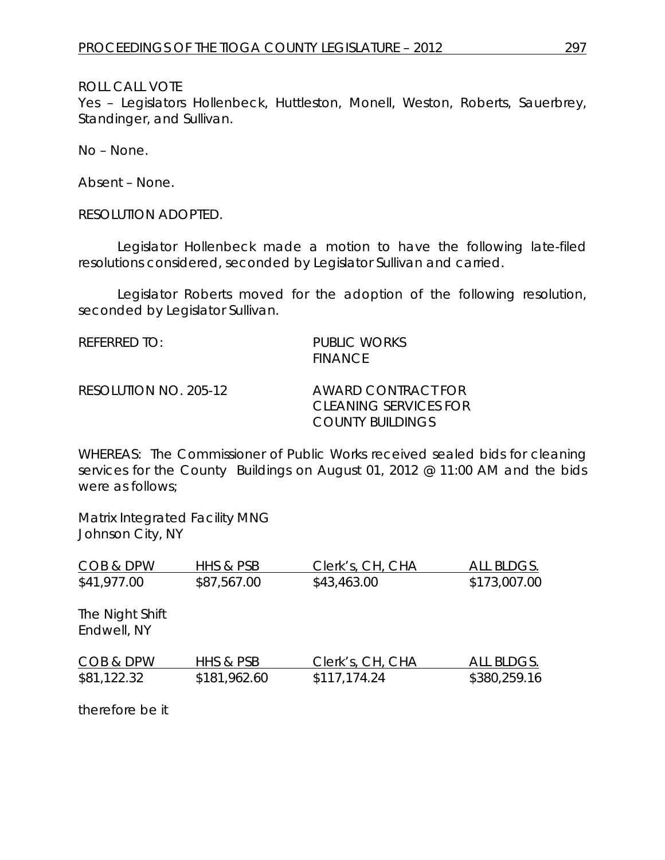Yes - Legislators Hollenbeck, Huttleston, Monell, Weston, Roberts, Sauerbrey, Standinger, and Sullivan.

No – None.

Absent – None.

RESOLUTION ADOPTED.

Legislator Hollenbeck made a motion to have the following late-filed resolutions considered, seconded by Legislator Sullivan and carried.

Legislator Roberts moved for the adoption of the following resolution, seconded by Legislator Sullivan.

| REFERRED TO:          | <b>PUBLIC WORKS</b><br><b>FINANCE</b>                                  |
|-----------------------|------------------------------------------------------------------------|
| RESOLUTION NO. 205-12 | AWARD CONTRACT FOR<br>CLEANING SERVICES FOR<br><b>COUNTY BUILDINGS</b> |

WHEREAS: The Commissioner of Public Works received sealed bids for cleaning services for the County Buildings on August 01, 2012 @ 11:00 AM and the bids were as follows;

Matrix Integrated Facility MNG Johnson City, NY

| COB & DPW                      | HHS & PSB    | Clerk's, CH, CHA | ALL BLDGS.   |
|--------------------------------|--------------|------------------|--------------|
| \$41,977.00                    | \$87,567.00  | \$43,463.00      | \$173,007.00 |
| The Night Shift<br>Endwell, NY |              |                  |              |
| COB & DPW                      | HHS & PSB    | Clerk's, CH, CHA | ALL BLDGS.   |
| \$81,122.32                    | \$181,962.60 | \$117,174.24     | \$380,259.16 |

therefore be it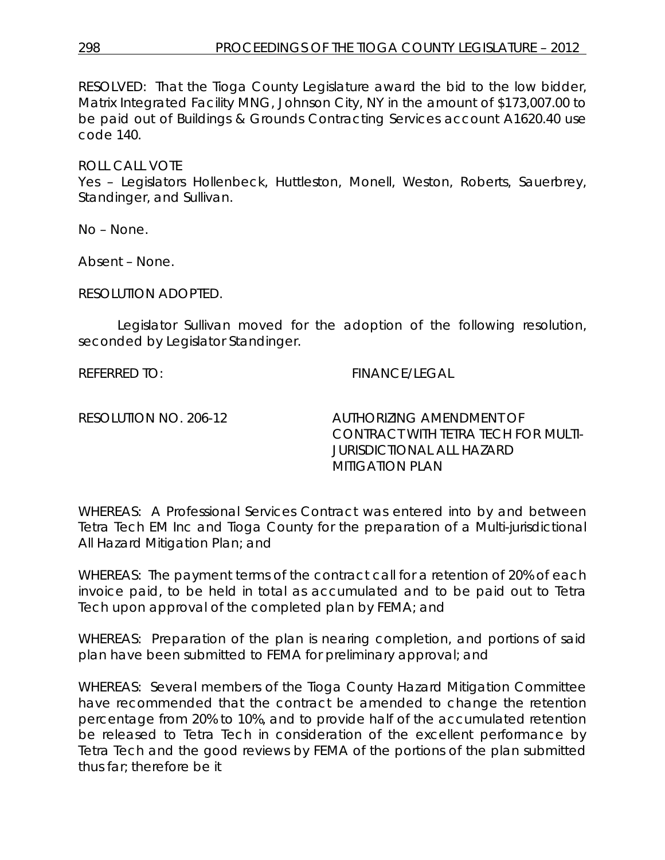RESOLVED: That the Tioga County Legislature award the bid to the low bidder, Matrix Integrated Facility MNG, Johnson City, NY in the amount of \$173,007.00 to be paid out of Buildings & Grounds Contracting Services account A1620.40 use code 140.

ROLL CALL VOTE

Yes – Legislators Hollenbeck, Huttleston, Monell, Weston, Roberts, Sauerbrey, Standinger, and Sullivan.

No – None.

Absent – None.

RESOLUTION ADOPTED.

Legislator Sullivan moved for the adoption of the following resolution, seconded by Legislator Standinger.

REFERRED TO: FINANCE/LEGAL

RESOLUTION NO. 206-12 *AUTHORIZING AMENDMENT OF CONTRACT WITH TETRA TECH FOR MULTI-JURISDICTIONAL ALL HAZARD MITIGATION PLAN*

WHEREAS: A Professional Services Contract was entered into by and between Tetra Tech EM Inc and Tioga County for the preparation of a Multi-jurisdictional All Hazard Mitigation Plan; and

WHEREAS: The payment terms of the contract call for a retention of 20% of each invoice paid, to be held in total as accumulated and to be paid out to Tetra Tech upon approval of the completed plan by FEMA; and

WHEREAS: Preparation of the plan is nearing completion, and portions of said plan have been submitted to FEMA for preliminary approval; and

WHEREAS: Several members of the Tioga County Hazard Mitigation Committee have recommended that the contract be amended to change the retention percentage from 20% to 10%, and to provide half of the accumulated retention be released to Tetra Tech in consideration of the excellent performance by Tetra Tech and the good reviews by FEMA of the portions of the plan submitted thus far; therefore be it